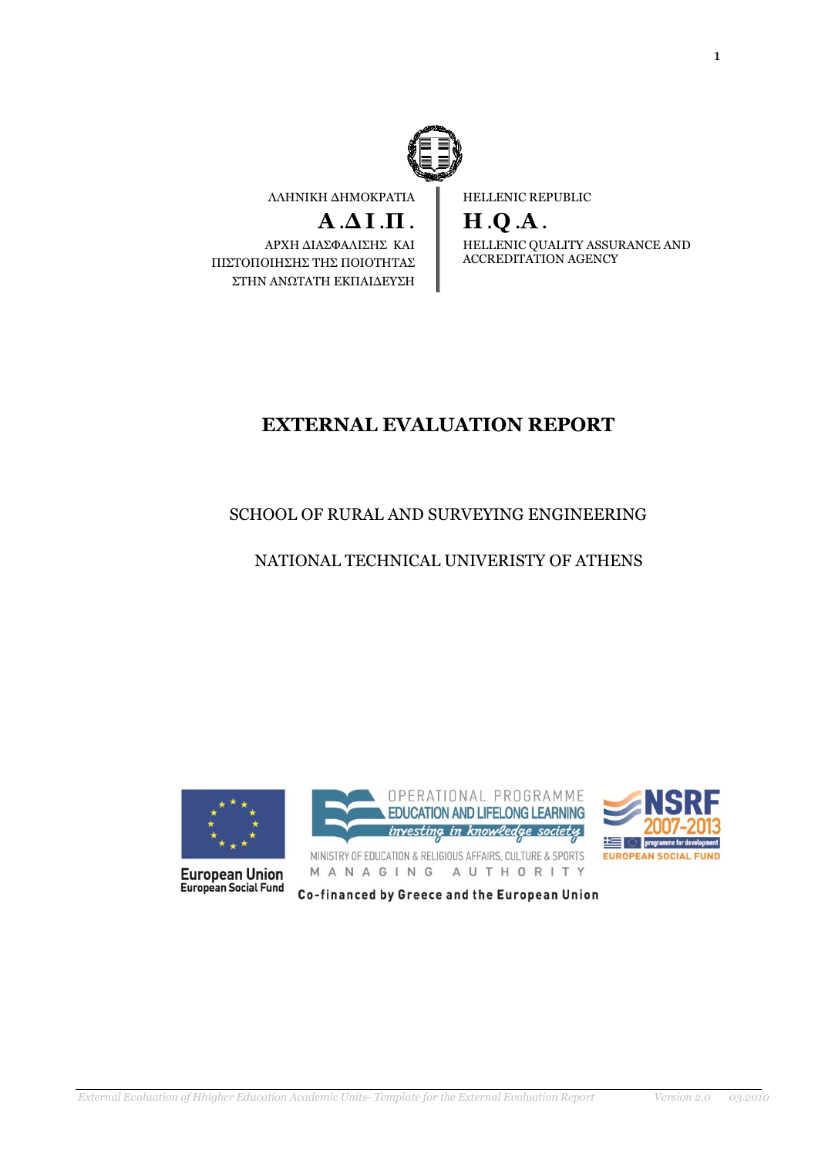

ΛΛΗΝΙΚΗ ΔΗΜΟΚΡΑΤΙΑ

**Α** .**Δ Ι** .**Π** .

ΑΡΧΗ ΔΙΑΣΦΑΛΙΣΗΣ ΚΑΙ ΠΙΣΤΟΠΟΙΗΣΗΣ ΤΗΣ ΠΟΙΟΤΗΤΑΣ ΣΤΗΝ ΑΝΩΤΑΤΗ ΕΚΠΑΙΔΕΥΣΗ HELLENIC REPUBLIC

**H** .**Q** .**A** .

HELLENIC QUALITY ASSURANCE AND ACCREDITATION AGENCY

# **EXTERNAL EVALUATION REPORT**

# SCHOOL OF RURAL AND SURVEYING ENGINEERING

# NATIONAL TECHNICAL UNIVERISTY OF ATHENS



**European Union**<br>European Social Fund



MINISTRY OF EDUCATION & RELIGIOUS AFFAIRS, CULTURE & SPORTS MANAGING AUTHORITY



Co-financed by Greece and the European Union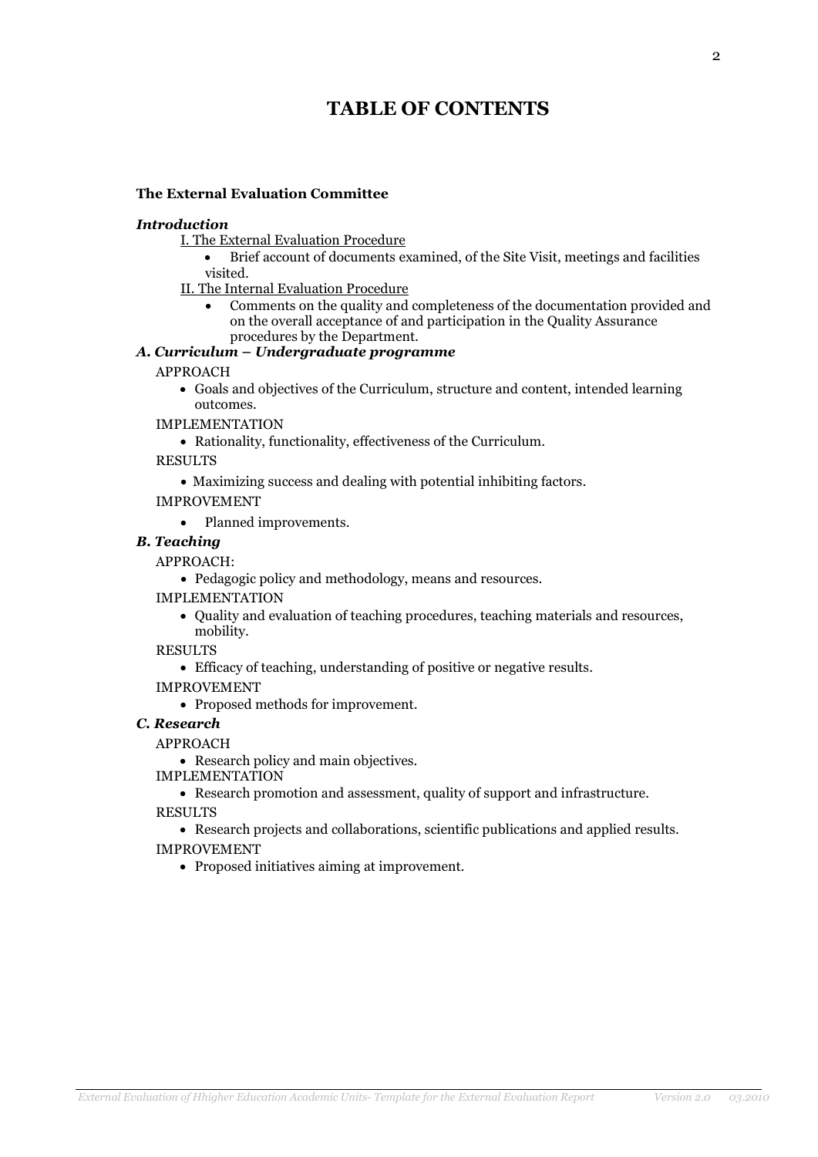# **TABLE OF CONTENTS**

### **The External Evaluation Committee**

### *Introduction*

- I. The External Evaluation Procedure
	- Brief account of documents examined, of the Site Visit, meetings and facilities visited.
- II. The Internal Evaluation Procedure
	- Comments on the quality and completeness of the documentation provided and on the overall acceptance of and participation in the Quality Assurance procedures by the Department.

### *Α. Curriculum – Undergraduate programme*

### APPROACH

 Goals and objectives of the Curriculum, structure and content, intended learning outcomes.

IMPLEMENTATION

- Rationality, functionality, effectiveness of the Curriculum.
- RESULTS
	- Maximizing success and dealing with potential inhibiting factors.
- IMPROVEMENT
	- Planned improvements.

### *B. Teaching*

### APPROACH:

- Pedagogic policy and methodology, means and resources.
- IMPLEMENTATION
	- Quality and evaluation of teaching procedures, teaching materials and resources, mobility.

RESULTS

- Efficacy of teaching, understanding of positive or negative results.
- IMPROVEMENT
	- Proposed methods for improvement.

# *C. Research*

### APPROACH

• Research policy and main objectives.

IMPLEMENTATION

 Research promotion and assessment, quality of support and infrastructure. RESULTS

 Research projects and collaborations, scientific publications and applied results. IMPROVEMENT

Proposed initiatives aiming at improvement.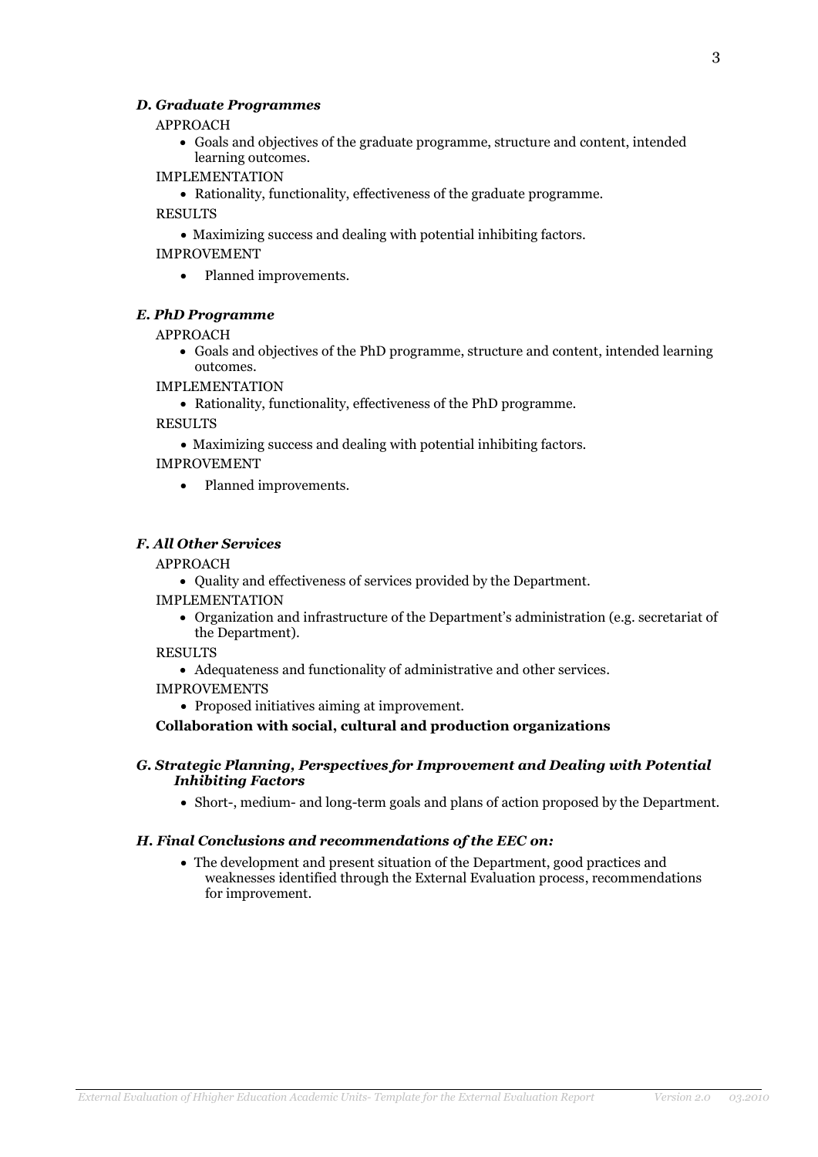### *D. Graduate Programmes*

#### APPROACH

 Goals and objectives of the graduate programme, structure and content, intended learning outcomes.

#### IMPLEMENTATION

Rationality, functionality, effectiveness of the graduate programme.

### RESULTS

Maximizing success and dealing with potential inhibiting factors.

### IMPROVEMENT

• Planned improvements.

### *E. PhD Programme*

### APPROACH

 Goals and objectives of the PhD programme, structure and content, intended learning outcomes.

IMPLEMENTATION

Rationality, functionality, effectiveness of the PhD programme.

RESULTS

Maximizing success and dealing with potential inhibiting factors.

### IMPROVEMENT

• Planned improvements.

### *F. All Other Services*

### APPROACH

Quality and effectiveness of services provided by the Department.

IMPLEMENTATION

 Organization and infrastructure of the Department's administration (e.g. secretariat of the Department).

RESULTS

- Adequateness and functionality of administrative and other services.
- IMPROVEMENTS
	- Proposed initiatives aiming at improvement.

**Collaboration with social, cultural and production organizations**

### *G. Strategic Planning, Perspectives for Improvement and Dealing with Potential Inhibiting Factors*

Short-, medium- and long-term goals and plans of action proposed by the Department.

### *H. Final Conclusions and recommendations of the EEC on:*

 The development and present situation of the Department, good practices and weaknesses identified through the External Evaluation process, recommendations for improvement.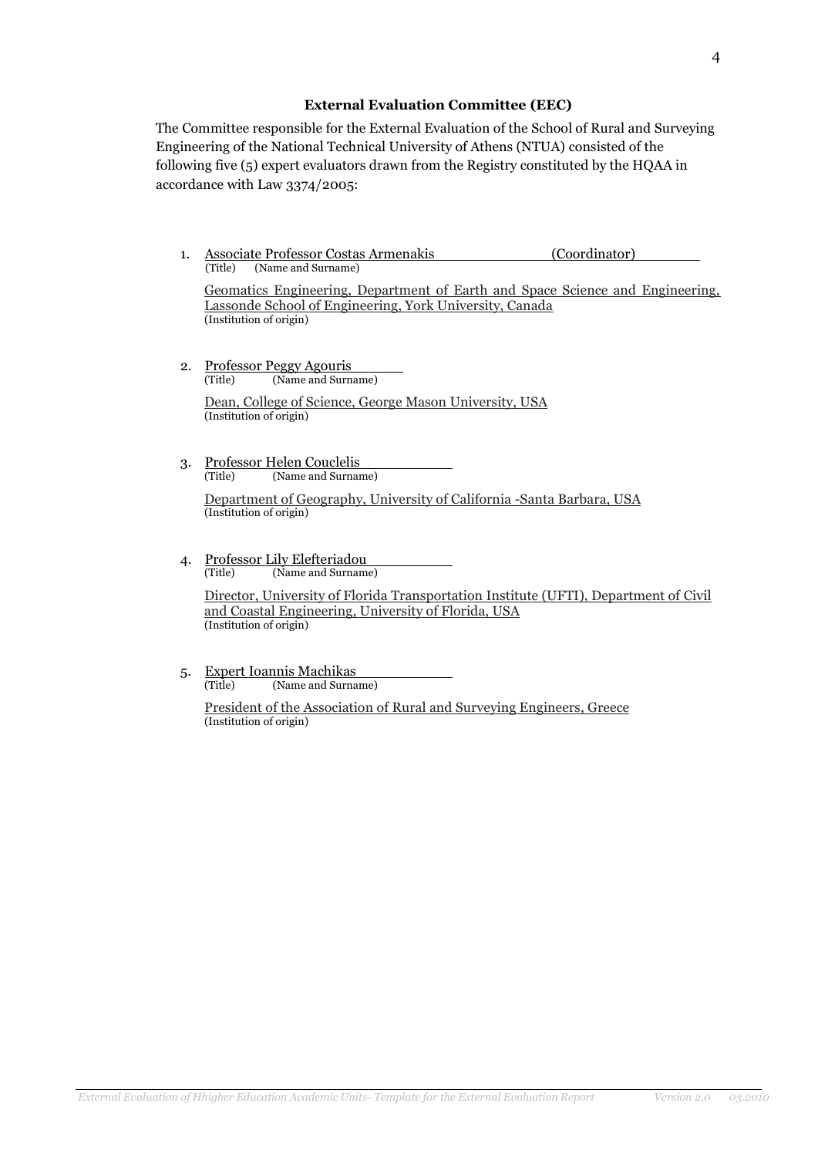### **External Evaluation Committee (EEC)**

The Committee responsible for the External Evaluation of the School of Rural and Surveying Engineering of the National Technical University of Athens (NTUA) consisted of the following five (5) expert evaluators drawn from the Registry constituted by the HQAA in accordance with Law 3374/2005:

1. Associate Professor Costas Armenakis (Coordinator) (Title) (Name and Surname)

Geomatics Engineering, Department of Earth and Space Science and Engineering, Lassonde School of Engineering, York University, Canada (Institution of origin)

2. Professor Peggy Agouris (Title) (Name and Surname)

> Dean, College of Science, George Mason University, USA (Institution of origin)

3. Professor Helen Couclelis (Title) (Name and Surname)

> Department of Geography, University of California -Santa Barbara, USA (Institution of origin)

4. Professor Lily Elefteriadou (Title) (Name and Surname)

Director, University of Florida Transportation Institute (UFTI), Department of Civil and Coastal Engineering, University of Florida, USA (Institution of origin)

5. Expert Ioannis Machikas (Title) (Name and Surname)

> President of the Association of Rural and Surveying Engineers, Greece (Institution of origin)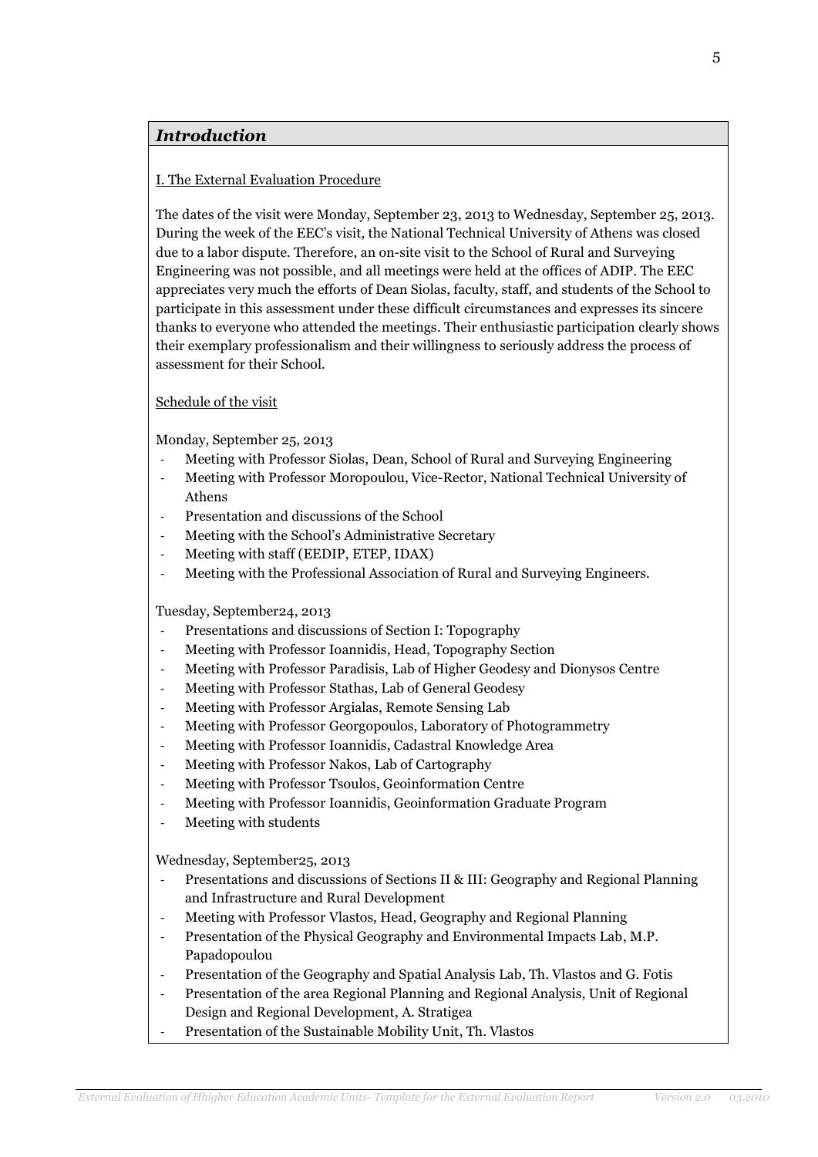# *Introduction*

### I. The External Evaluation Procedure

The dates of the visit were Monday, September 23, 2013 to Wednesday, September 25, 2013. During the week of the EEC's visit, the National Technical University of Athens was closed due to a labor dispute. Therefore, an on-site visit to the School of Rural and Surveying Engineering was not possible, and all meetings were held at the offices of ADIP. The EEC appreciates very much the efforts of Dean Siolas, faculty, staff, and students of the School to participate in this assessment under these difficult circumstances and expresses its sincere thanks to everyone who attended the meetings. Their enthusiastic participation clearly shows their exemplary professionalism and their willingness to seriously address the process of assessment for their School.

### Schedule of the visit

Monday, September 25, 2013

- Meeting with Professor Siolas, Dean, School of Rural and Surveying Engineering
- Meeting with Professor Moropoulou, Vice-Rector, National Technical University of Athens
- Presentation and discussions of the School
- Meeting with the School's Administrative Secretary
- Meeting with staff (EEDIP, ETEP, IDAX)
- Meeting with the Professional Association of Rural and Surveying Engineers.

Tuesday, September24, 2013

- Presentations and discussions of Section I: Topography
- Meeting with Professor Ioannidis, Head, Topography Section
- Meeting with Professor Paradisis, Lab of Higher Geodesy and Dionysos Centre
- Meeting with Professor Stathas, Lab of General Geodesy
- Meeting with Professor Argialas, Remote Sensing Lab
- Meeting with Professor Georgopoulos, Laboratory of Photogrammetry
- Meeting with Professor Ioannidis, Cadastral Knowledge Area
- Meeting with Professor Nakos, Lab of Cartography
- Meeting with Professor Tsoulos, Geoinformation Centre
- Meeting with Professor Ioannidis, Geoinformation Graduate Program
- Meeting with students

Wednesday, September25, 2013

- Presentations and discussions of Sections II & III: Geography and Regional Planning and Infrastructure and Rural Development
- Meeting with Professor Vlastos, Head, Geography and Regional Planning
- Presentation of the Physical Geography and Environmental Impacts Lab, M.P. Papadopoulou
- Presentation of the Geography and Spatial Analysis Lab, Th. Vlastos and G. Fotis
- Presentation of the area Regional Planning and Regional Analysis, Unit of Regional Design and Regional Development, A. Stratigea
- Presentation of the Sustainable Mobility Unit, Th. Vlastos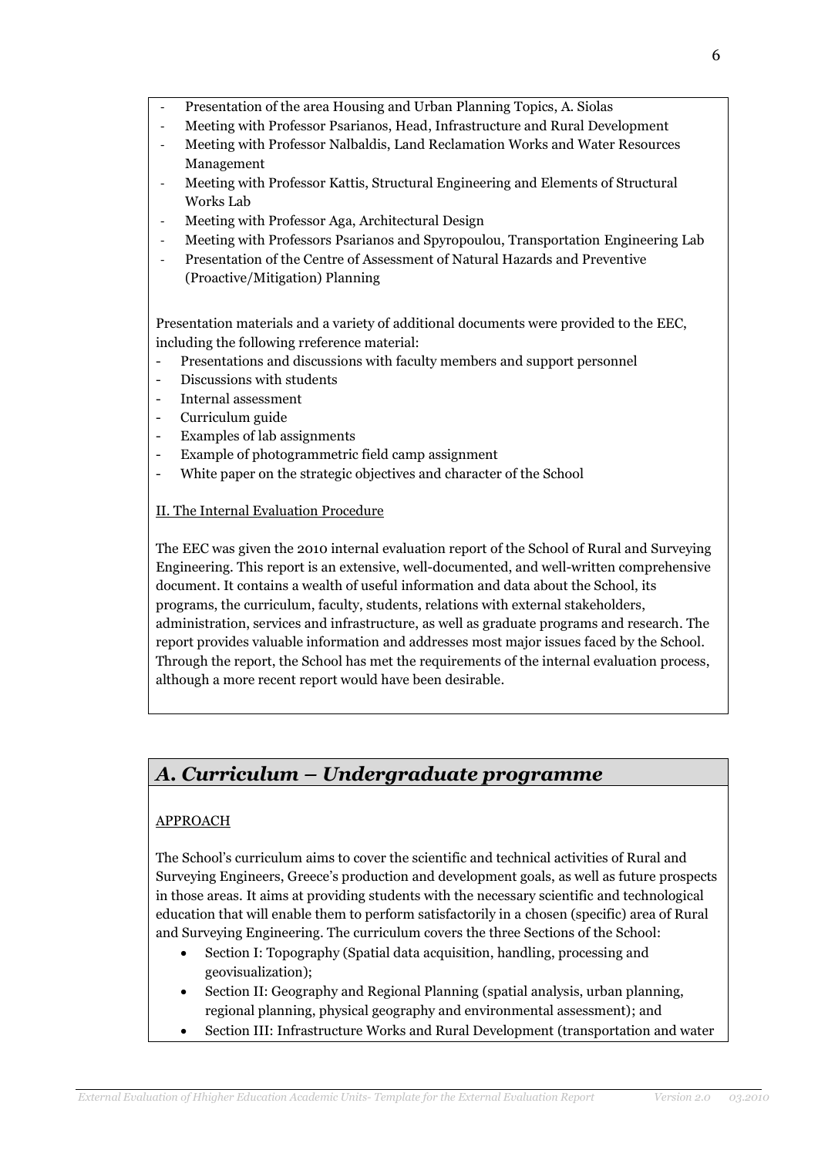- Presentation of the area Housing and Urban Planning Topics, A. Siolas
- Meeting with Professor Psarianos, Head, Infrastructure and Rural Development
- Meeting with Professor Nalbaldis, Land Reclamation Works and Water Resources Management
- Meeting with Professor Kattis, Structural Engineering and Elements of Structural Works Lab
- Meeting with Professor Aga, Architectural Design
- Meeting with Professors Psarianos and Spyropoulou, Transportation Engineering Lab
- Presentation of the Centre of Assessment of Natural Hazards and Preventive (Proactive/Mitigation) Planning

Presentation materials and a variety of additional documents were provided to the EEC, including the following rreference material:

- Presentations and discussions with faculty members and support personnel
- Discussions with students
- Internal assessment
- Curriculum guide
- Examples of lab assignments
- Example of photogrammetric field camp assignment
- White paper on the strategic objectives and character of the School

### II. The Internal Evaluation Procedure

The EEC was given the 2010 internal evaluation report of the School of Rural and Surveying Engineering. This report is an extensive, well-documented, and well-written comprehensive document. It contains a wealth of useful information and data about the School, its programs, the curriculum, faculty, students, relations with external stakeholders, administration, services and infrastructure, as well as graduate programs and research. The report provides valuable information and addresses most major issues faced by the School. Through the report, the School has met the requirements of the internal evaluation process, although a more recent report would have been desirable.

# *Α. Curriculum – Undergraduate programme*

# APPROACH

The School's curriculum aims to cover the scientific and technical activities of Rural and Surveying Engineers, Greece's production and development goals, as well as future prospects in those areas. It aims at providing students with the necessary scientific and technological education that will enable them to perform satisfactorily in a chosen (specific) area of Rural and Surveying Engineering. The curriculum covers the three Sections of the School:

- Section I: Topography (Spatial data acquisition, handling, processing and geovisualization);
- Section II: Geography and Regional Planning (spatial analysis, urban planning, regional planning, physical geography and environmental assessment); and
- Section III: Infrastructure Works and Rural Development (transportation and water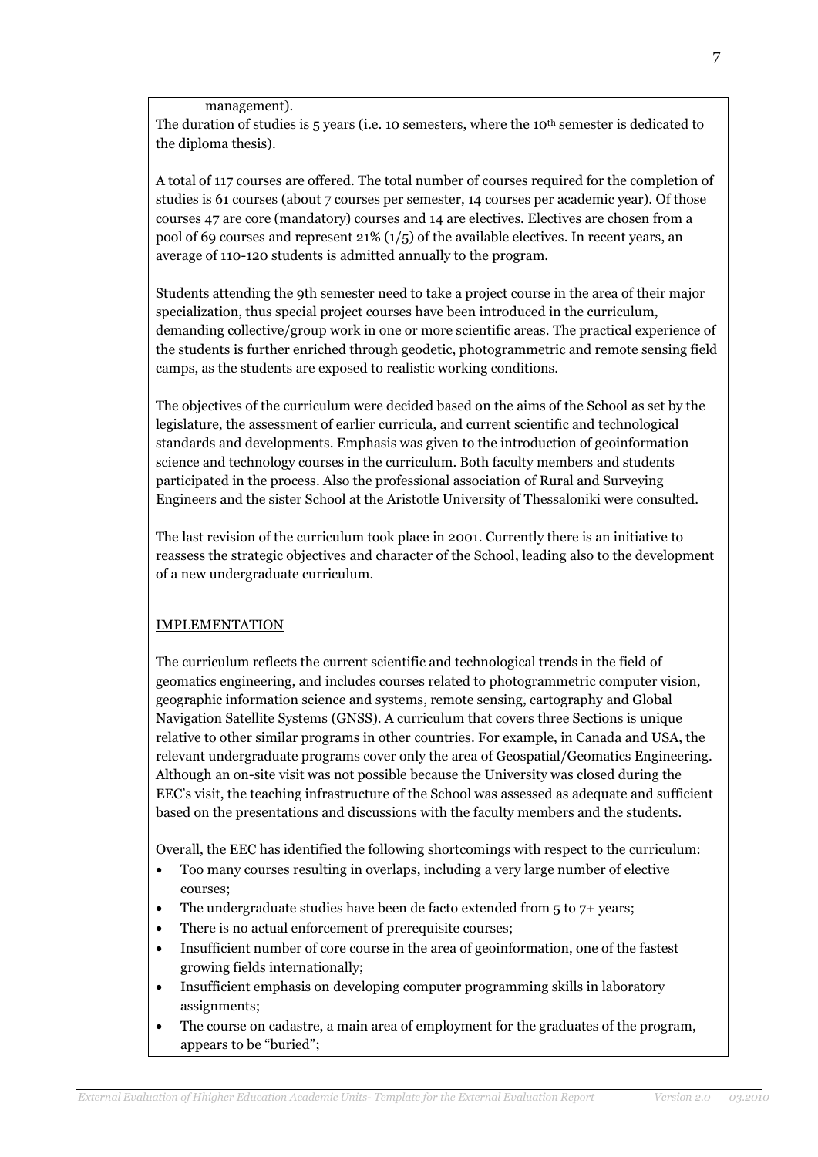management).

The duration of studies is  $5$  years (i.e. 10 semesters, where the 10<sup>th</sup> semester is dedicated to the diploma thesis).

A total of 117 courses are offered. The total number of courses required for the completion of studies is 61 courses (about 7 courses per semester, 14 courses per academic year). Of those courses 47 are core (mandatory) courses and 14 are electives. Electives are chosen from a pool of 69 courses and represent 21% (1/5) of the available electives. In recent years, an average of 110-120 students is admitted annually to the program.

Students attending the 9th semester need to take a project course in the area of their major specialization, thus special project courses have been introduced in the curriculum, demanding collective/group work in one or more scientific areas. The practical experience of the students is further enriched through geodetic, photogrammetric and remote sensing field camps, as the students are exposed to realistic working conditions.

The objectives of the curriculum were decided based on the aims of the School as set by the legislature, the assessment of earlier curricula, and current scientific and technological standards and developments. Emphasis was given to the introduction of geoinformation science and technology courses in the curriculum. Both faculty members and students participated in the process. Also the professional association of Rural and Surveying Engineers and the sister School at the Aristotle University of Thessaloniki were consulted.

The last revision of the curriculum took place in 2001. Currently there is an initiative to reassess the strategic objectives and character of the School, leading also to the development of a new undergraduate curriculum.

# IMPLEMENTATION

The curriculum reflects the current scientific and technological trends in the field of geomatics engineering, and includes courses related to photogrammetric computer vision, geographic information science and systems, remote sensing, cartography and Global Navigation Satellite Systems (GNSS). A curriculum that covers three Sections is unique relative to other similar programs in other countries. For example, in Canada and USA, the relevant undergraduate programs cover only the area of Geospatial/Geomatics Engineering. Although an on-site visit was not possible because the University was closed during the EEC's visit, the teaching infrastructure of the School was assessed as adequate and sufficient based on the presentations and discussions with the faculty members and the students.

Overall, the EEC has identified the following shortcomings with respect to the curriculum:

- Too many courses resulting in overlaps, including a very large number of elective courses;
- The undergraduate studies have been de facto extended from 5 to 7+ years;
- There is no actual enforcement of prerequisite courses;
- Insufficient number of core course in the area of geoinformation, one of the fastest growing fields internationally;
- Insufficient emphasis on developing computer programming skills in laboratory assignments;
- The course on cadastre, a main area of employment for the graduates of the program, appears to be "buried";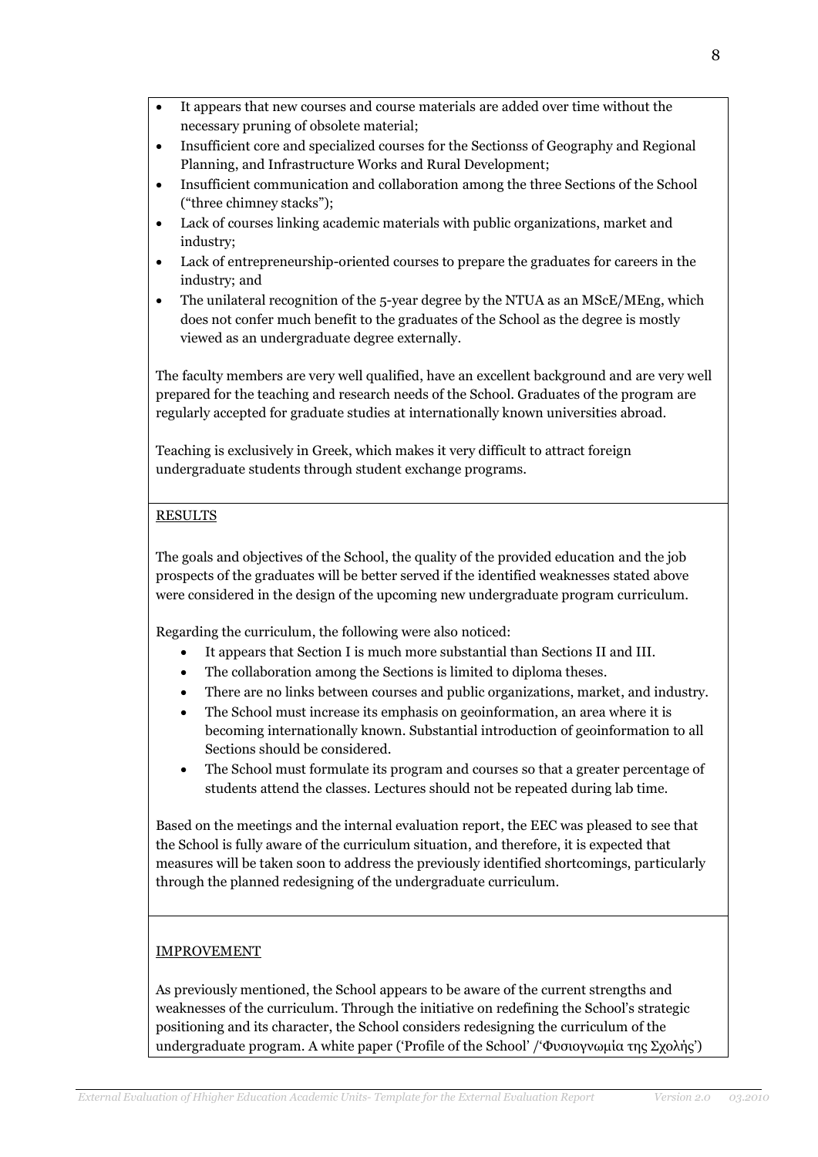- It appears that new courses and course materials are added over time without the necessary pruning of obsolete material;
- Insufficient core and specialized courses for the Sectionss of Geography and Regional Planning, and Infrastructure Works and Rural Development;
- Insufficient communication and collaboration among the three Sections of the School ("three chimney stacks");
- Lack of courses linking academic materials with public organizations, market and industry;
- Lack of entrepreneurship-oriented courses to prepare the graduates for careers in the industry; and
- The unilateral recognition of the 5-year degree by the NTUA as an MScE/MEng, which does not confer much benefit to the graduates of the School as the degree is mostly viewed as an undergraduate degree externally.

The faculty members are very well qualified, have an excellent background and are very well prepared for the teaching and research needs of the School. Graduates of the program are regularly accepted for graduate studies at internationally known universities abroad.

Teaching is exclusively in Greek, which makes it very difficult to attract foreign undergraduate students through student exchange programs.

# **RESULTS**

The goals and objectives of the School, the quality of the provided education and the job prospects of the graduates will be better served if the identified weaknesses stated above were considered in the design of the upcoming new undergraduate program curriculum.

Regarding the curriculum, the following were also noticed:

- It appears that Section I is much more substantial than Sections II and III.
- The collaboration among the Sections is limited to diploma theses.
- There are no links between courses and public organizations, market, and industry.
- The School must increase its emphasis on geoinformation, an area where it is becoming internationally known. Substantial introduction of geoinformation to all Sections should be considered.
- The School must formulate its program and courses so that a greater percentage of students attend the classes. Lectures should not be repeated during lab time.

Based on the meetings and the internal evaluation report, the EEC was pleased to see that the School is fully aware of the curriculum situation, and therefore, it is expected that measures will be taken soon to address the previously identified shortcomings, particularly through the planned redesigning of the undergraduate curriculum.

# IMPROVEMENT

As previously mentioned, the School appears to be aware of the current strengths and weaknesses of the curriculum. Through the initiative on redefining the School's strategic positioning and its character, the School considers redesigning the curriculum of the undergraduate program. A white paper ('Profile of the School' /'Φυσιογνωμία της Σχολής')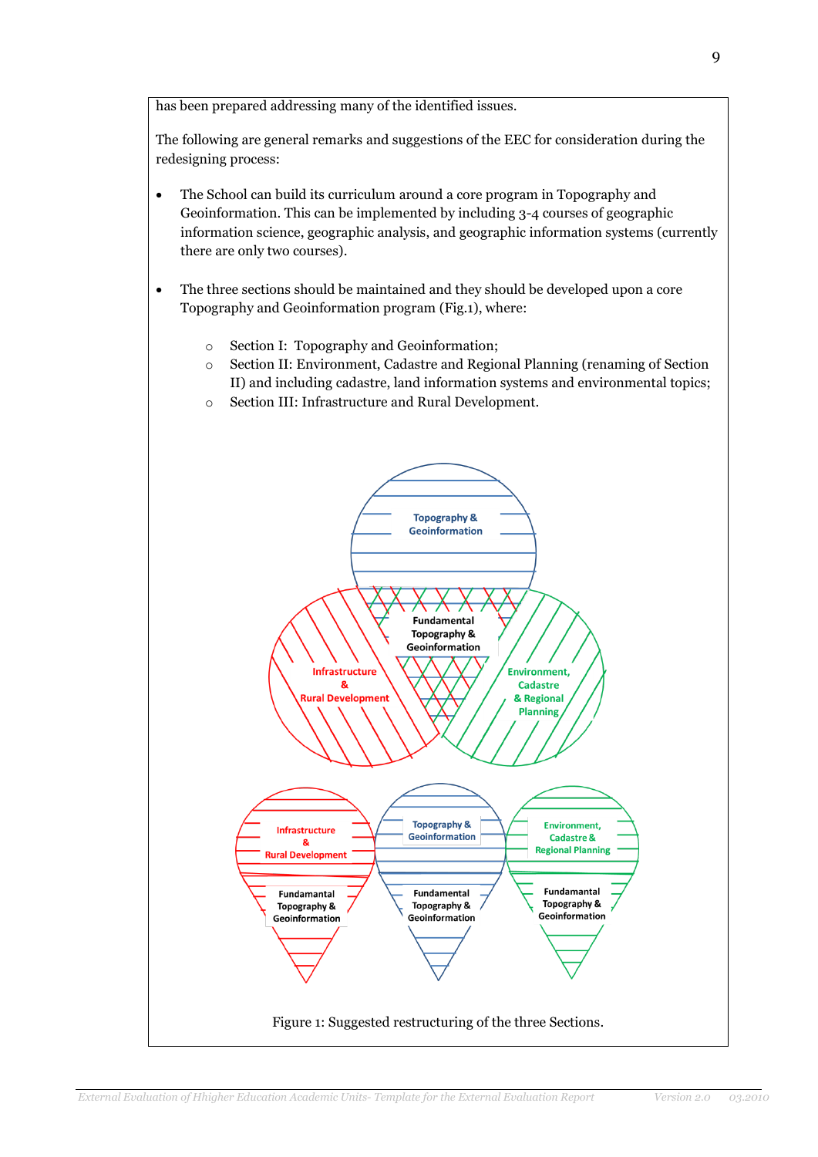has been prepared addressing many of the identified issues.

The following are general remarks and suggestions of the EEC for consideration during the redesigning process:

- The School can build its curriculum around a core program in Topography and Geoinformation. This can be implemented by including 3-4 courses of geographic information science, geographic analysis, and geographic information systems (currently there are only two courses).
- The three sections should be maintained and they should be developed upon a core Topography and Geoinformation program (Fig.1), where:
	- o Section I: Topography and Geoinformation;
	- o Section II: Environment, Cadastre and Regional Planning (renaming of Section II) and including cadastre, land information systems and environmental topics;
	- o Section III: Infrastructure and Rural Development.

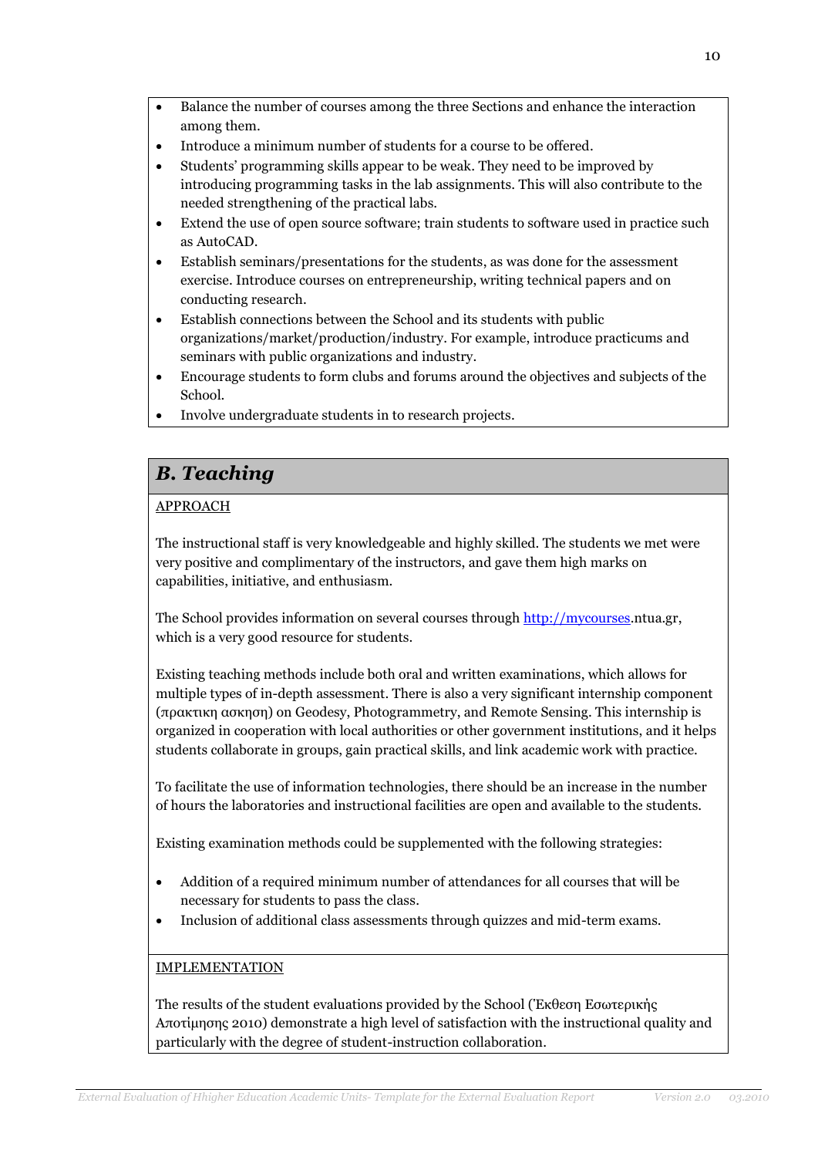- Balance the number of courses among the three Sections and enhance the interaction among them.
- Introduce a minimum number of students for a course to be offered.
- Students' programming skills appear to be weak. They need to be improved by introducing programming tasks in the lab assignments. This will also contribute to the needed strengthening of the practical labs.
- Extend the use of open source software; train students to software used in practice such as AutoCAD.
- Establish seminars/presentations for the students, as was done for the assessment exercise. Introduce courses on entrepreneurship, writing technical papers and on conducting research.
- Establish connections between the School and its students with public organizations/market/production/industry. For example, introduce practicums and seminars with public organizations and industry.
- Encourage students to form clubs and forums around the objectives and subjects of the School.
- Involve undergraduate students in to research projects.

# *B. Teaching*

# APPROACH

The instructional staff is very knowledgeable and highly skilled. The students we met were very positive and complimentary of the instructors, and gave them high marks on capabilities, initiative, and enthusiasm.

The School provides information on several courses through [http://mycourses.](http://mycourses/)ntua.gr, which is a very good resource for students.

Existing teaching methods include both oral and written examinations, which allows for multiple types of in-depth assessment. There is also a very significant internship component (πρακτικη ασκηση) on Geodesy, Photogrammetry, and Remote Sensing. This internship is organized in cooperation with local authorities or other government institutions, and it helps students collaborate in groups, gain practical skills, and link academic work with practice.

To facilitate the use of information technologies, there should be an increase in the number of hours the laboratories and instructional facilities are open and available to the students.

Existing examination methods could be supplemented with the following strategies:

- Addition of a required minimum number of attendances for all courses that will be necessary for students to pass the class.
- Inclusion of additional class assessments through quizzes and mid-term exams.

# IMPLEMENTATION

The results of the student evaluations provided by the School (Έκθεση Εσωτερικής Αποτίμησης 2010) demonstrate a high level of satisfaction with the instructional quality and particularly with the degree of student-instruction collaboration.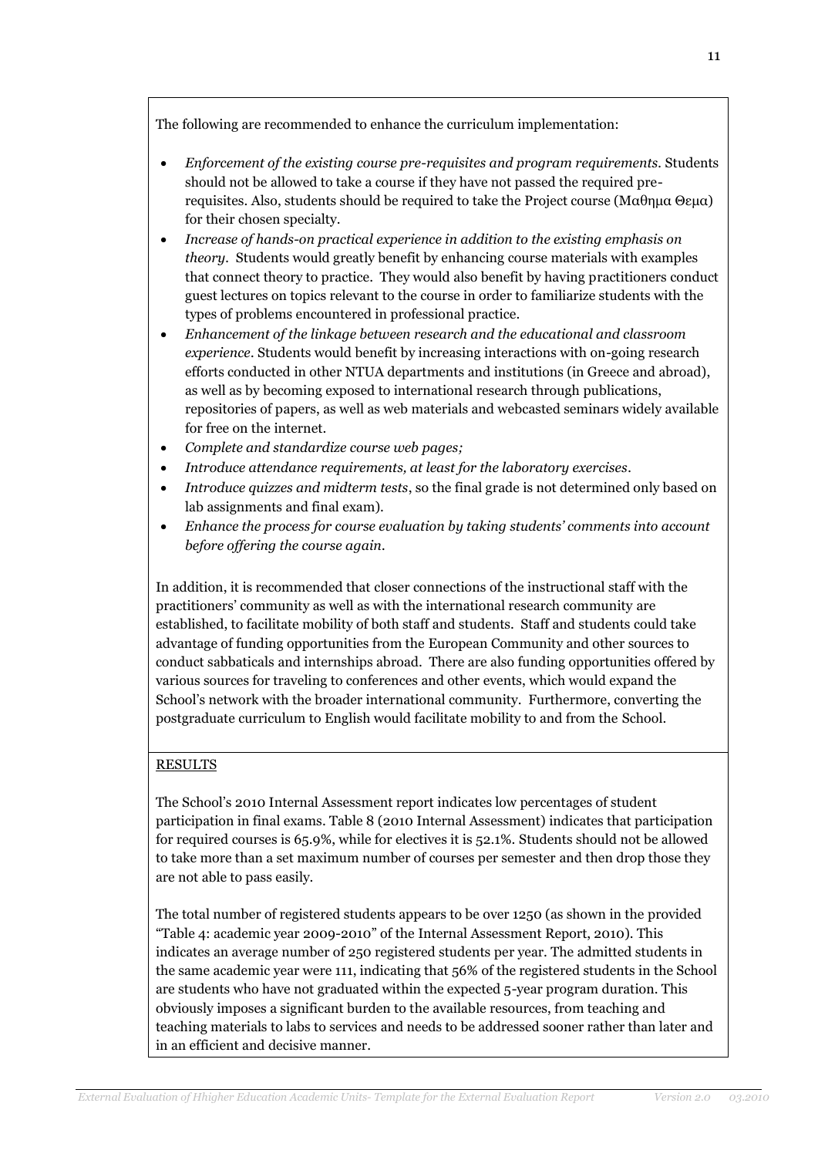The following are recommended to enhance the curriculum implementation:

- *Enforcement of the existing course pre-requisites and program requirements.* Students should not be allowed to take a course if they have not passed the required prerequisites. Also, students should be required to take the Project course (Μαθημα Θεμα) for their chosen specialty.
- *Increase of hands-on practical experience in addition to the existing emphasis on theory.* Students would greatly benefit by enhancing course materials with examples that connect theory to practice. They would also benefit by having practitioners conduct guest lectures on topics relevant to the course in order to familiarize students with the types of problems encountered in professional practice.
- *Enhancement of the linkage between research and the educational and classroom experience.* Students would benefit by increasing interactions with on-going research efforts conducted in other NTUA departments and institutions (in Greece and abroad), as well as by becoming exposed to international research through publications, repositories of papers, as well as web materials and webcasted seminars widely available for free on the internet.
- *Complete and standardize course web pages;*
- *Introduce attendance requirements, at least for the laboratory exercises.*
- *Introduce quizzes and midterm tests*, so the final grade is not determined only based on lab assignments and final exam).
- *Enhance the process for course evaluation by taking students' comments into account before offering the course again.*

In addition, it is recommended that closer connections of the instructional staff with the practitioners' community as well as with the international research community are established, to facilitate mobility of both staff and students. Staff and students could take advantage of funding opportunities from the European Community and other sources to conduct sabbaticals and internships abroad. There are also funding opportunities offered by various sources for traveling to conferences and other events, which would expand the School's network with the broader international community. Furthermore, converting the postgraduate curriculum to English would facilitate mobility to and from the School.

# **RESULTS**

The School's 2010 Internal Assessment report indicates low percentages of student participation in final exams. Table 8 (2010 Internal Assessment) indicates that participation for required courses is 65.9%, while for electives it is 52.1%. Students should not be allowed to take more than a set maximum number of courses per semester and then drop those they are not able to pass easily.

The total number of registered students appears to be over 1250 (as shown in the provided "Table 4: academic year 2009-2010" of the Internal Assessment Report, 2010). This indicates an average number of 250 registered students per year. The admitted students in the same academic year were 111, indicating that 56% of the registered students in the School are students who have not graduated within the expected 5-year program duration. This obviously imposes a significant burden to the available resources, from teaching and teaching materials to labs to services and needs to be addressed sooner rather than later and in an efficient and decisive manner.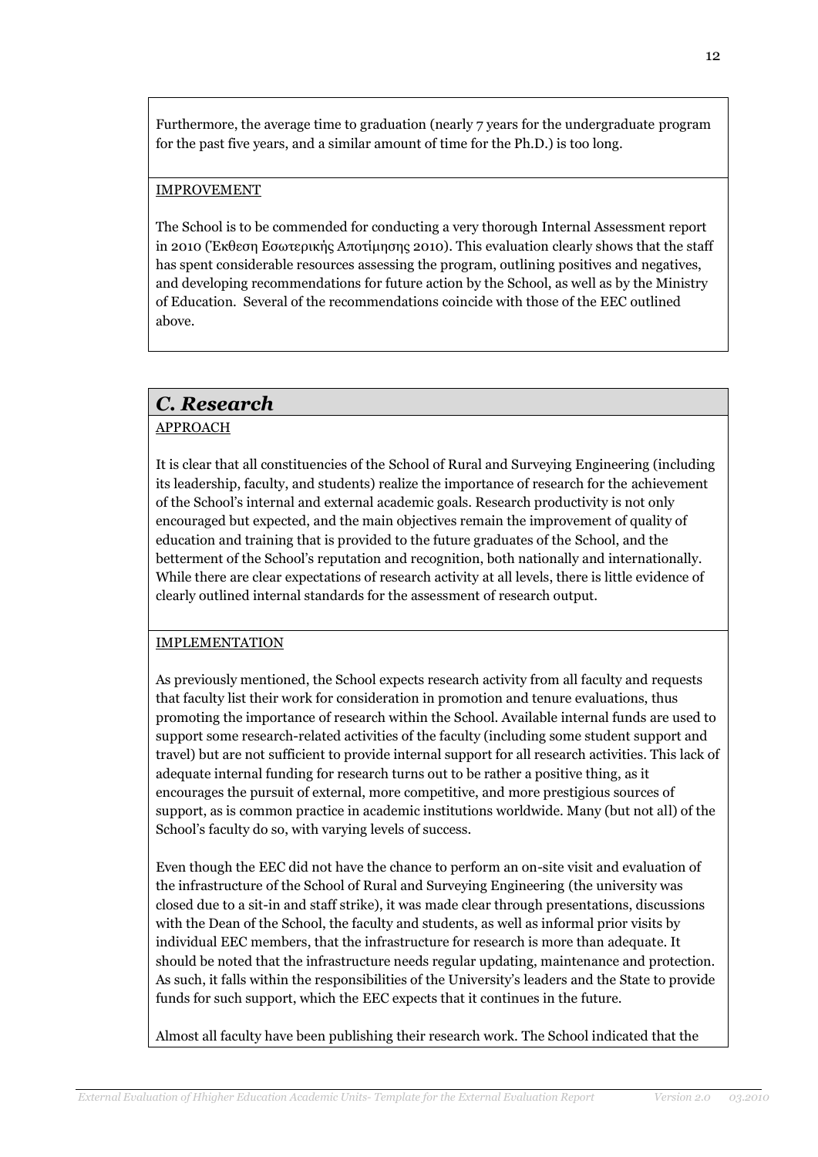Furthermore, the average time to graduation (nearly 7 years for the undergraduate program for the past five years, and a similar amount of time for the Ph.D.) is too long.

### IMPROVEMENT

The School is to be commended for conducting a very thorough Internal Assessment report in 2010 (Έκθεση Εσωτερικής Αποτίμησης 2010). This evaluation clearly shows that the staff has spent considerable resources assessing the program, outlining positives and negatives, and developing recommendations for future action by the School, as well as by the Ministry of Education. Several of the recommendations coincide with those of the EEC outlined above.

# *C. Research*

# APPROACH

It is clear that all constituencies of the School of Rural and Surveying Engineering (including its leadership, faculty, and students) realize the importance of research for the achievement of the School's internal and external academic goals. Research productivity is not only encouraged but expected, and the main objectives remain the improvement of quality of education and training that is provided to the future graduates of the School, and the betterment of the School's reputation and recognition, both nationally and internationally. While there are clear expectations of research activity at all levels, there is little evidence of clearly outlined internal standards for the assessment of research output.

# IMPLEMENTATION

As previously mentioned, the School expects research activity from all faculty and requests that faculty list their work for consideration in promotion and tenure evaluations, thus promoting the importance of research within the School. Available internal funds are used to support some research-related activities of the faculty (including some student support and travel) but are not sufficient to provide internal support for all research activities. This lack of adequate internal funding for research turns out to be rather a positive thing, as it encourages the pursuit of external, more competitive, and more prestigious sources of support, as is common practice in academic institutions worldwide. Many (but not all) of the School's faculty do so, with varying levels of success.

Even though the EEC did not have the chance to perform an on-site visit and evaluation of the infrastructure of the School of Rural and Surveying Engineering (the university was closed due to a sit-in and staff strike), it was made clear through presentations, discussions with the Dean of the School, the faculty and students, as well as informal prior visits by individual EEC members, that the infrastructure for research is more than adequate. It should be noted that the infrastructure needs regular updating, maintenance and protection. As such, it falls within the responsibilities of the University's leaders and the State to provide funds for such support, which the EEC expects that it continues in the future.

Almost all faculty have been publishing their research work. The School indicated that the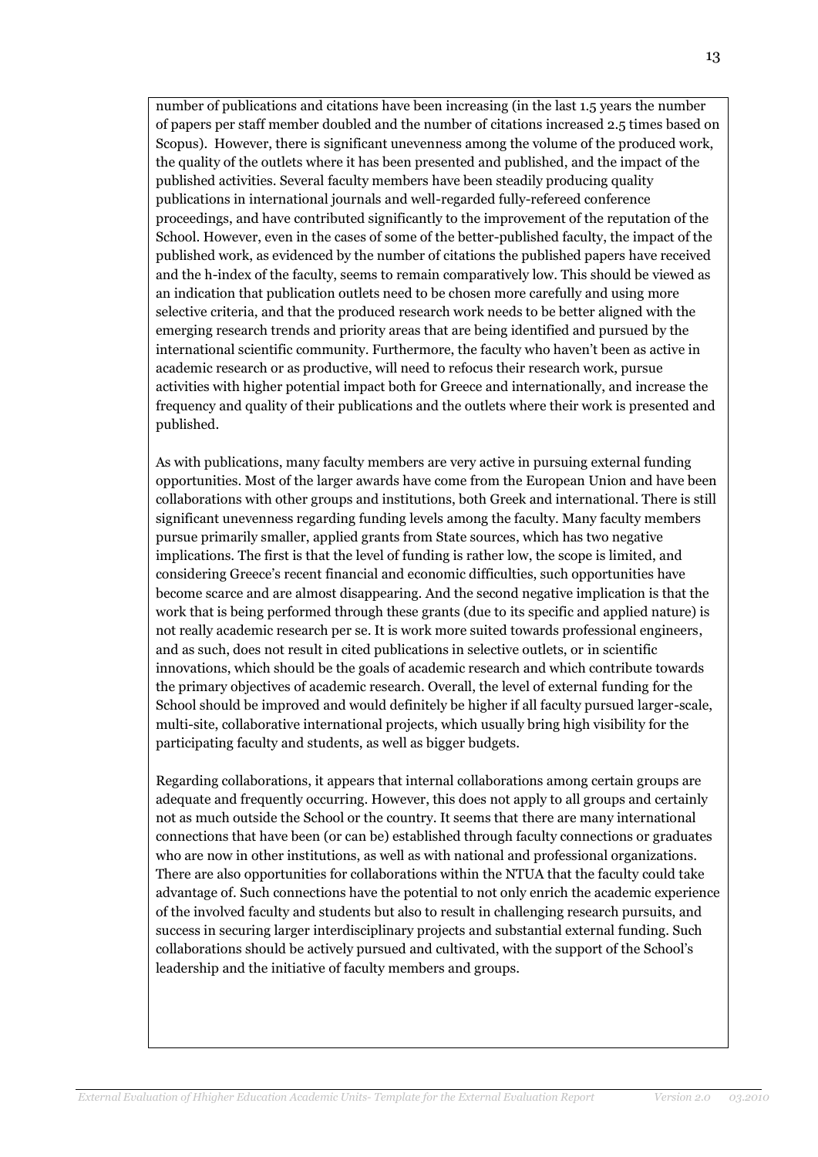number of publications and citations have been increasing (in the last 1.5 years the number of papers per staff member doubled and the number of citations increased 2.5 times based on Scopus). However, there is significant unevenness among the volume of the produced work, the quality of the outlets where it has been presented and published, and the impact of the published activities. Several faculty members have been steadily producing quality publications in international journals and well-regarded fully-refereed conference proceedings, and have contributed significantly to the improvement of the reputation of the School. However, even in the cases of some of the better-published faculty, the impact of the published work, as evidenced by the number of citations the published papers have received and the h-index of the faculty, seems to remain comparatively low. This should be viewed as an indication that publication outlets need to be chosen more carefully and using more selective criteria, and that the produced research work needs to be better aligned with the emerging research trends and priority areas that are being identified and pursued by the international scientific community. Furthermore, the faculty who haven't been as active in academic research or as productive, will need to refocus their research work, pursue activities with higher potential impact both for Greece and internationally, and increase the frequency and quality of their publications and the outlets where their work is presented and published.

As with publications, many faculty members are very active in pursuing external funding opportunities. Most of the larger awards have come from the European Union and have been collaborations with other groups and institutions, both Greek and international. There is still significant unevenness regarding funding levels among the faculty. Many faculty members pursue primarily smaller, applied grants from State sources, which has two negative implications. The first is that the level of funding is rather low, the scope is limited, and considering Greece's recent financial and economic difficulties, such opportunities have become scarce and are almost disappearing. And the second negative implication is that the work that is being performed through these grants (due to its specific and applied nature) is not really academic research per se. It is work more suited towards professional engineers, and as such, does not result in cited publications in selective outlets, or in scientific innovations, which should be the goals of academic research and which contribute towards the primary objectives of academic research. Overall, the level of external funding for the School should be improved and would definitely be higher if all faculty pursued larger-scale, multi-site, collaborative international projects, which usually bring high visibility for the participating faculty and students, as well as bigger budgets.

Regarding collaborations, it appears that internal collaborations among certain groups are adequate and frequently occurring. However, this does not apply to all groups and certainly not as much outside the School or the country. It seems that there are many international connections that have been (or can be) established through faculty connections or graduates who are now in other institutions, as well as with national and professional organizations. There are also opportunities for collaborations within the NTUA that the faculty could take advantage of. Such connections have the potential to not only enrich the academic experience of the involved faculty and students but also to result in challenging research pursuits, and success in securing larger interdisciplinary projects and substantial external funding. Such collaborations should be actively pursued and cultivated, with the support of the School's leadership and the initiative of faculty members and groups.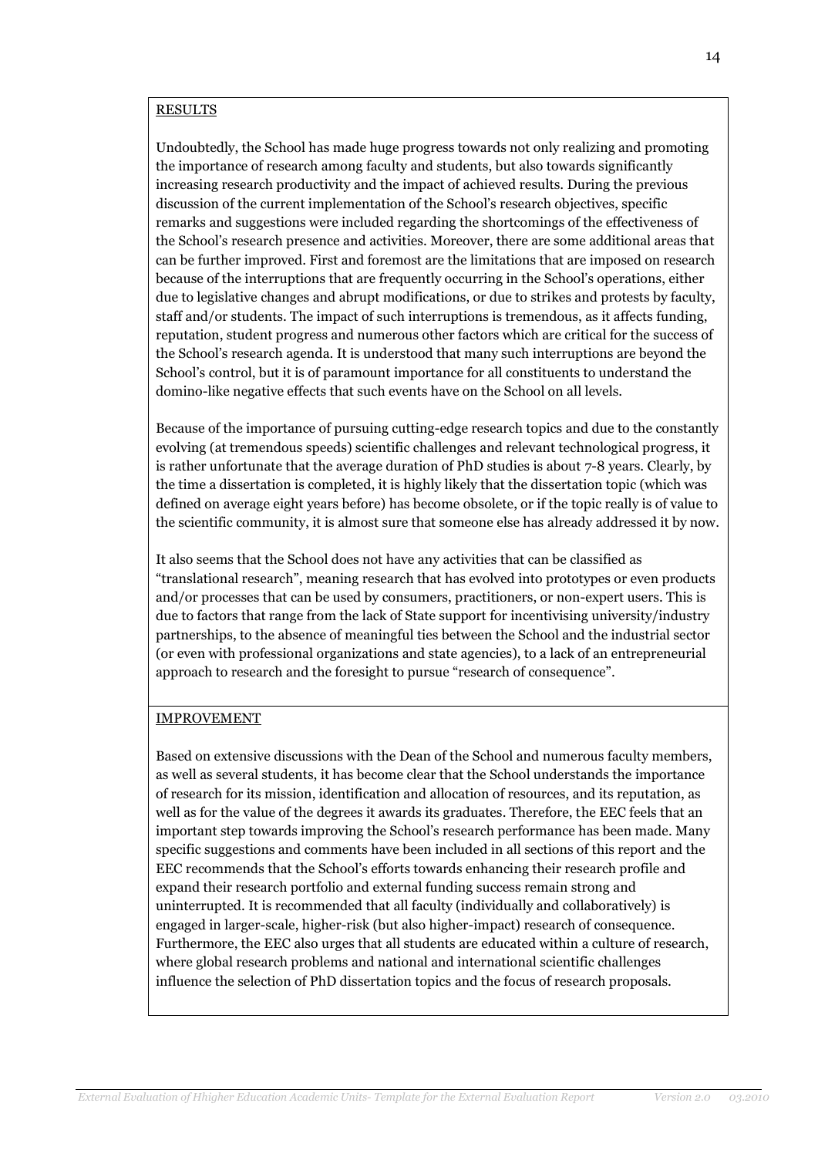### RESULTS

Undoubtedly, the School has made huge progress towards not only realizing and promoting the importance of research among faculty and students, but also towards significantly increasing research productivity and the impact of achieved results. During the previous discussion of the current implementation of the School's research objectives, specific remarks and suggestions were included regarding the shortcomings of the effectiveness of the School's research presence and activities. Moreover, there are some additional areas that can be further improved. First and foremost are the limitations that are imposed on research because of the interruptions that are frequently occurring in the School's operations, either due to legislative changes and abrupt modifications, or due to strikes and protests by faculty, staff and/or students. The impact of such interruptions is tremendous, as it affects funding, reputation, student progress and numerous other factors which are critical for the success of the School's research agenda. It is understood that many such interruptions are beyond the School's control, but it is of paramount importance for all constituents to understand the domino-like negative effects that such events have on the School on all levels.

Because of the importance of pursuing cutting-edge research topics and due to the constantly evolving (at tremendous speeds) scientific challenges and relevant technological progress, it is rather unfortunate that the average duration of PhD studies is about 7-8 years. Clearly, by the time a dissertation is completed, it is highly likely that the dissertation topic (which was defined on average eight years before) has become obsolete, or if the topic really is of value to the scientific community, it is almost sure that someone else has already addressed it by now.

It also seems that the School does not have any activities that can be classified as "translational research", meaning research that has evolved into prototypes or even products and/or processes that can be used by consumers, practitioners, or non-expert users. This is due to factors that range from the lack of State support for incentivising university/industry partnerships, to the absence of meaningful ties between the School and the industrial sector (or even with professional organizations and state agencies), to a lack of an entrepreneurial approach to research and the foresight to pursue "research of consequence".

### IMPROVEMENT

Based on extensive discussions with the Dean of the School and numerous faculty members, as well as several students, it has become clear that the School understands the importance of research for its mission, identification and allocation of resources, and its reputation, as well as for the value of the degrees it awards its graduates. Therefore, the EEC feels that an important step towards improving the School's research performance has been made. Many specific suggestions and comments have been included in all sections of this report and the EEC recommends that the School's efforts towards enhancing their research profile and expand their research portfolio and external funding success remain strong and uninterrupted. It is recommended that all faculty (individually and collaboratively) is engaged in larger-scale, higher-risk (but also higher-impact) research of consequence. Furthermore, the EEC also urges that all students are educated within a culture of research, where global research problems and national and international scientific challenges influence the selection of PhD dissertation topics and the focus of research proposals.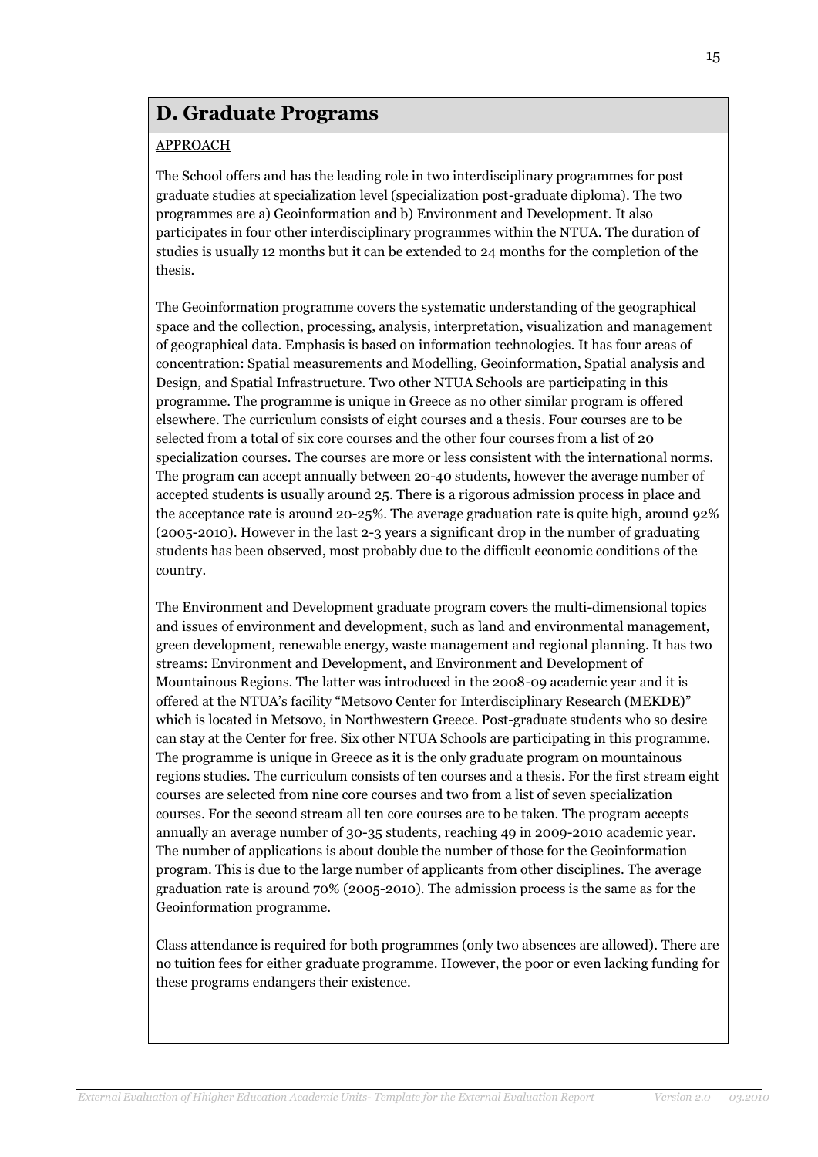# **D. Graduate Programs**

# APPROACH

The School offers and has the leading role in two interdisciplinary programmes for post graduate studies at specialization level (specialization post-graduate diploma). The two programmes are a) Geoinformation and b) Environment and Development. It also participates in four other interdisciplinary programmes within the NTUA. The duration of studies is usually 12 months but it can be extended to 24 months for the completion of the thesis.

The Geoinformation programme covers the systematic understanding of the geographical space and the collection, processing, analysis, interpretation, visualization and management of geographical data. Emphasis is based on information technologies. It has four areas of concentration: Spatial measurements and Modelling, Geoinformation, Spatial analysis and Design, and Spatial Infrastructure. Two other NTUA Schools are participating in this programme. The programme is unique in Greece as no other similar program is offered elsewhere. The curriculum consists of eight courses and a thesis. Four courses are to be selected from a total of six core courses and the other four courses from a list of 20 specialization courses. The courses are more or less consistent with the international norms. The program can accept annually between 20-40 students, however the average number of accepted students is usually around 25. There is a rigorous admission process in place and the acceptance rate is around 20-25%. The average graduation rate is quite high, around 92% (2005-2010). However in the last 2-3 years a significant drop in the number of graduating students has been observed, most probably due to the difficult economic conditions of the country.

The Environment and Development graduate program covers the multi-dimensional topics and issues of environment and development, such as land and environmental management, green development, renewable energy, waste management and regional planning. It has two streams: Environment and Development, and Environment and Development of Mountainous Regions. The latter was introduced in the 2008-09 academic year and it is offered at the NTUA's facility "Metsovo Center for Interdisciplinary Research (MEKDE)" which is located in Metsovo, in Northwestern Greece. Post-graduate students who so desire can stay at the Center for free. Six other NTUA Schools are participating in this programme. The programme is unique in Greece as it is the only graduate program on mountainous regions studies. The curriculum consists of ten courses and a thesis. For the first stream eight courses are selected from nine core courses and two from a list of seven specialization courses. For the second stream all ten core courses are to be taken. The program accepts annually an average number of 30-35 students, reaching 49 in 2009-2010 academic year. The number of applications is about double the number of those for the Geoinformation program. This is due to the large number of applicants from other disciplines. The average graduation rate is around 70% (2005-2010). The admission process is the same as for the Geoinformation programme.

Class attendance is required for both programmes (only two absences are allowed). There are no tuition fees for either graduate programme. However, the poor or even lacking funding for these programs endangers their existence.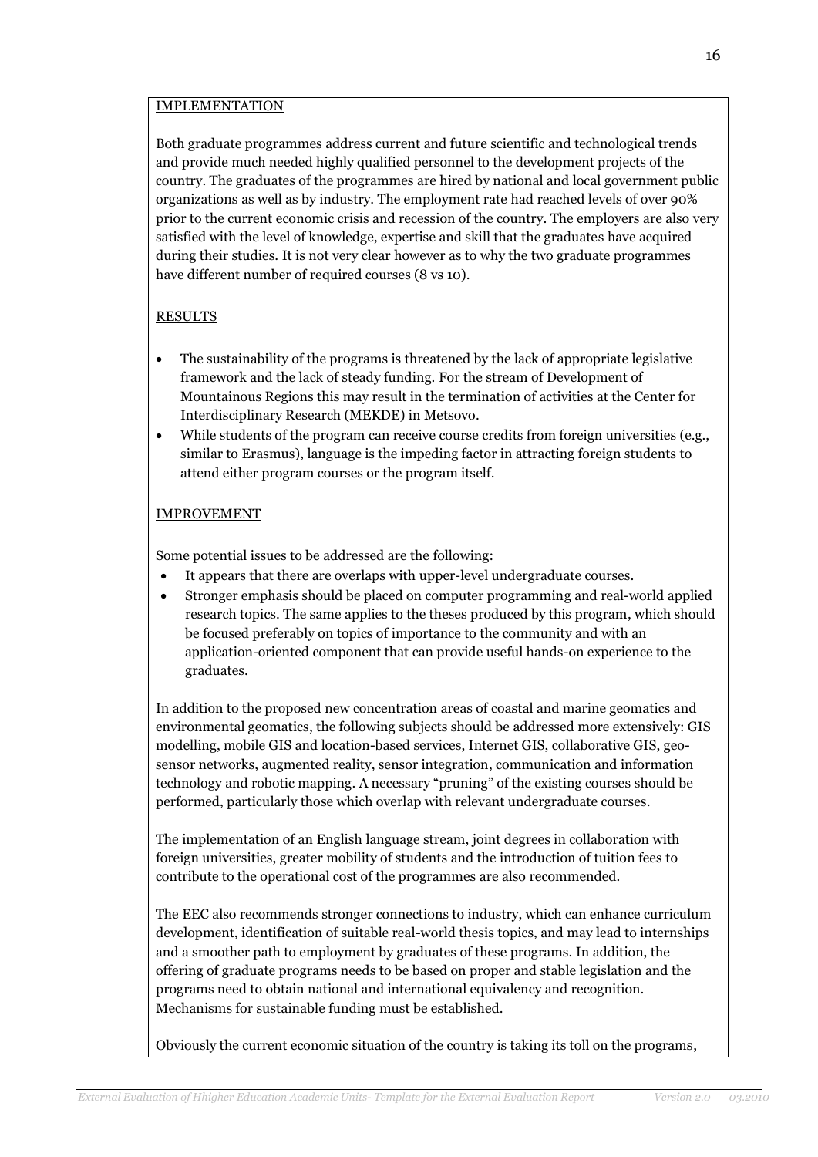### IMPLEMENTATION

Both graduate programmes address current and future scientific and technological trends and provide much needed highly qualified personnel to the development projects of the country. The graduates of the programmes are hired by national and local government public organizations as well as by industry. The employment rate had reached levels of over 90% prior to the current economic crisis and recession of the country. The employers are also very satisfied with the level of knowledge, expertise and skill that the graduates have acquired during their studies. It is not very clear however as to why the two graduate programmes have different number of required courses (8 vs 10).

# RESULTS

- The sustainability of the programs is threatened by the lack of appropriate legislative framework and the lack of steady funding. For the stream of Development of Mountainous Regions this may result in the termination of activities at the Center for Interdisciplinary Research (MEKDE) in Metsovo.
- While students of the program can receive course credits from foreign universities (e.g., similar to Erasmus), language is the impeding factor in attracting foreign students to attend either program courses or the program itself.

# IMPROVEMENT

Some potential issues to be addressed are the following:

- It appears that there are overlaps with upper-level undergraduate courses.
- Stronger emphasis should be placed on computer programming and real-world applied research topics. The same applies to the theses produced by this program, which should be focused preferably on topics of importance to the community and with an application-oriented component that can provide useful hands-on experience to the graduates.

In addition to the proposed new concentration areas of coastal and marine geomatics and environmental geomatics, the following subjects should be addressed more extensively: GIS modelling, mobile GIS and location-based services, Internet GIS, collaborative GIS, geosensor networks, augmented reality, sensor integration, communication and information technology and robotic mapping. A necessary "pruning" of the existing courses should be performed, particularly those which overlap with relevant undergraduate courses.

The implementation of an English language stream, joint degrees in collaboration with foreign universities, greater mobility of students and the introduction of tuition fees to contribute to the operational cost of the programmes are also recommended.

The EEC also recommends stronger connections to industry, which can enhance curriculum development, identification of suitable real-world thesis topics, and may lead to internships and a smoother path to employment by graduates of these programs. In addition, the offering of graduate programs needs to be based on proper and stable legislation and the programs need to obtain national and international equivalency and recognition. Mechanisms for sustainable funding must be established.

Obviously the current economic situation of the country is taking its toll on the programs,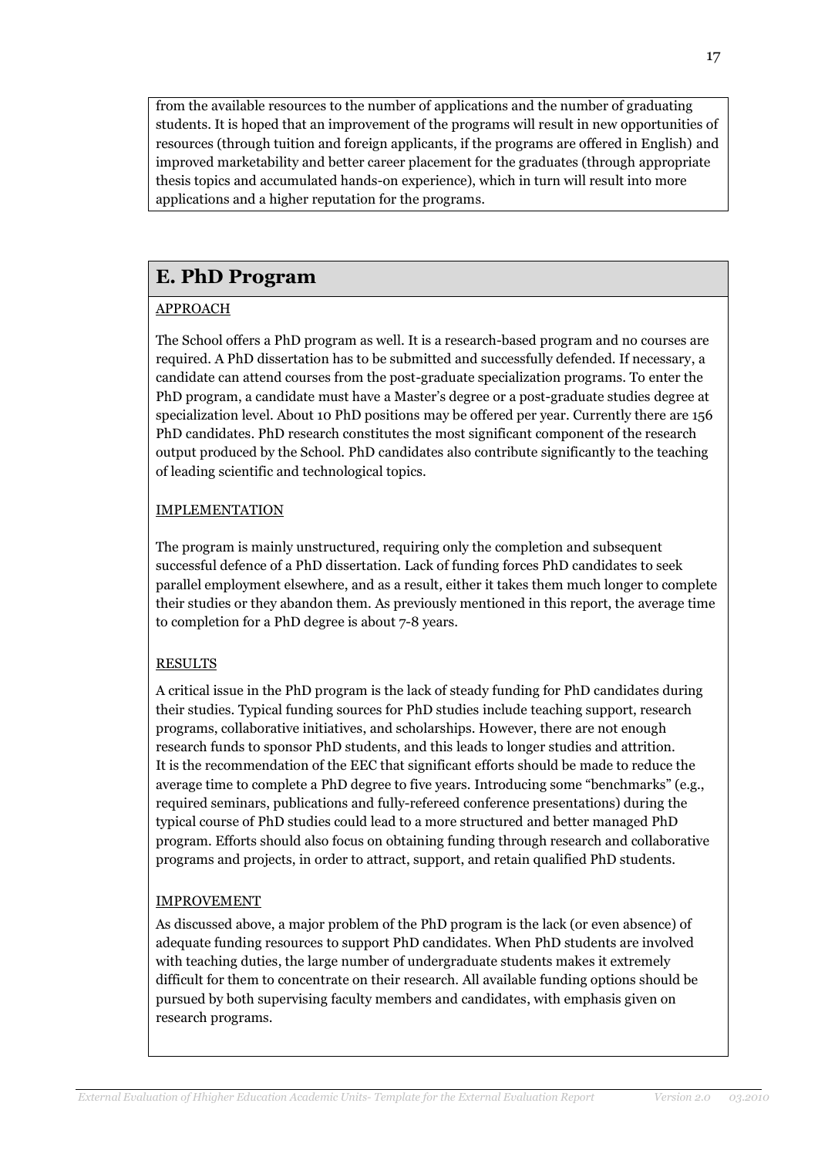from the available resources to the number of applications and the number of graduating students. It is hoped that an improvement of the programs will result in new opportunities of resources (through tuition and foreign applicants, if the programs are offered in English) and improved marketability and better career placement for the graduates (through appropriate thesis topics and accumulated hands-on experience), which in turn will result into more applications and a higher reputation for the programs.

# **E. PhD Program**

# APPROACH

The School offers a PhD program as well. It is a research-based program and no courses are required. A PhD dissertation has to be submitted and successfully defended. If necessary, a candidate can attend courses from the post-graduate specialization programs. To enter the PhD program, a candidate must have a Master's degree or a post-graduate studies degree at specialization level. About 10 PhD positions may be offered per year. Currently there are 156 PhD candidates. PhD research constitutes the most significant component of the research output produced by the School. PhD candidates also contribute significantly to the teaching of leading scientific and technological topics.

# IMPLEMENTATION

The program is mainly unstructured, requiring only the completion and subsequent successful defence of a PhD dissertation. Lack of funding forces PhD candidates to seek parallel employment elsewhere, and as a result, either it takes them much longer to complete their studies or they abandon them. As previously mentioned in this report, the average time to completion for a PhD degree is about 7-8 years.

# RESULTS

A critical issue in the PhD program is the lack of steady funding for PhD candidates during their studies. Typical funding sources for PhD studies include teaching support, research programs, collaborative initiatives, and scholarships. However, there are not enough research funds to sponsor PhD students, and this leads to longer studies and attrition. It is the recommendation of the EEC that significant efforts should be made to reduce the average time to complete a PhD degree to five years. Introducing some "benchmarks" (e.g., required seminars, publications and fully-refereed conference presentations) during the typical course of PhD studies could lead to a more structured and better managed PhD program. Efforts should also focus on obtaining funding through research and collaborative programs and projects, in order to attract, support, and retain qualified PhD students.

# IMPROVEMENT

As discussed above, a major problem of the PhD program is the lack (or even absence) of adequate funding resources to support PhD candidates. When PhD students are involved with teaching duties, the large number of undergraduate students makes it extremely difficult for them to concentrate on their research. All available funding options should be pursued by both supervising faculty members and candidates, with emphasis given on research programs.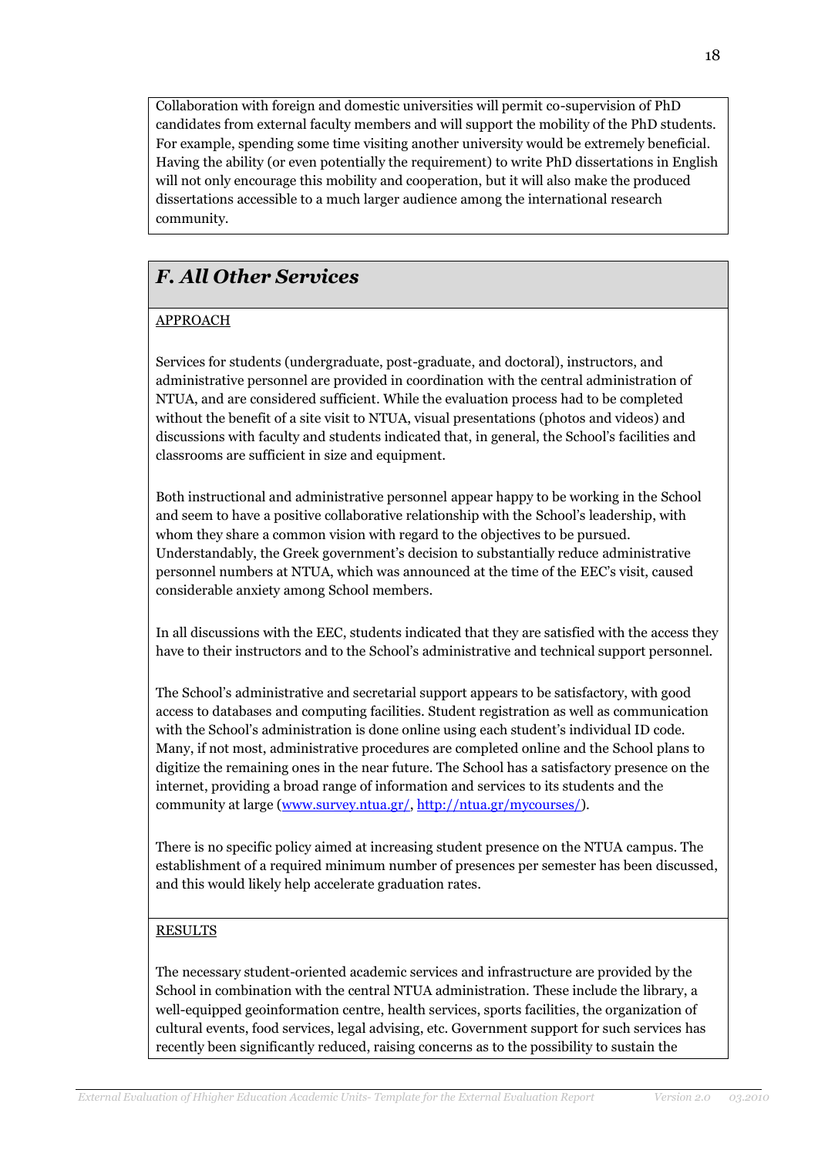Collaboration with foreign and domestic universities will permit co-supervision of PhD candidates from external faculty members and will support the mobility of the PhD students. For example, spending some time visiting another university would be extremely beneficial. Having the ability (or even potentially the requirement) to write PhD dissertations in English will not only encourage this mobility and cooperation, but it will also make the produced dissertations accessible to a much larger audience among the international research community.

# *F. All Other Services*

# APPROACH

Services for students (undergraduate, post-graduate, and doctoral), instructors, and administrative personnel are provided in coordination with the central administration of NTUA, and are considered sufficient. While the evaluation process had to be completed without the benefit of a site visit to NTUA, visual presentations (photos and videos) and discussions with faculty and students indicated that, in general, the School's facilities and classrooms are sufficient in size and equipment.

Both instructional and administrative personnel appear happy to be working in the School and seem to have a positive collaborative relationship with the School's leadership, with whom they share a common vision with regard to the objectives to be pursued. Understandably, the Greek government's decision to substantially reduce administrative personnel numbers at NTUA, which was announced at the time of the EEC's visit, caused considerable anxiety among School members.

In all discussions with the EEC, students indicated that they are satisfied with the access they have to their instructors and to the School's administrative and technical support personnel.

The School's administrative and secretarial support appears to be satisfactory, with good access to databases and computing facilities. Student registration as well as communication with the School's administration is done online using each student's individual ID code. Many, if not most, administrative procedures are completed online and the School plans to digitize the remaining ones in the near future. The School has a satisfactory presence on the internet, providing a broad range of information and services to its students and the community at large [\(www.survey.ntua.gr/,](http://www.survey.ntua.gr/) [http://ntua.gr/mycourses/\)](http://ntua.gr/mycourses/).

There is no specific policy aimed at increasing student presence on the NTUA campus. The establishment of a required minimum number of presences per semester has been discussed, and this would likely help accelerate graduation rates.

# RESULTS

The necessary student-oriented academic services and infrastructure are provided by the School in combination with the central NTUA administration. These include the library, a well-equipped geoinformation centre, health services, sports facilities, the organization of cultural events, food services, legal advising, etc. Government support for such services has recently been significantly reduced, raising concerns as to the possibility to sustain the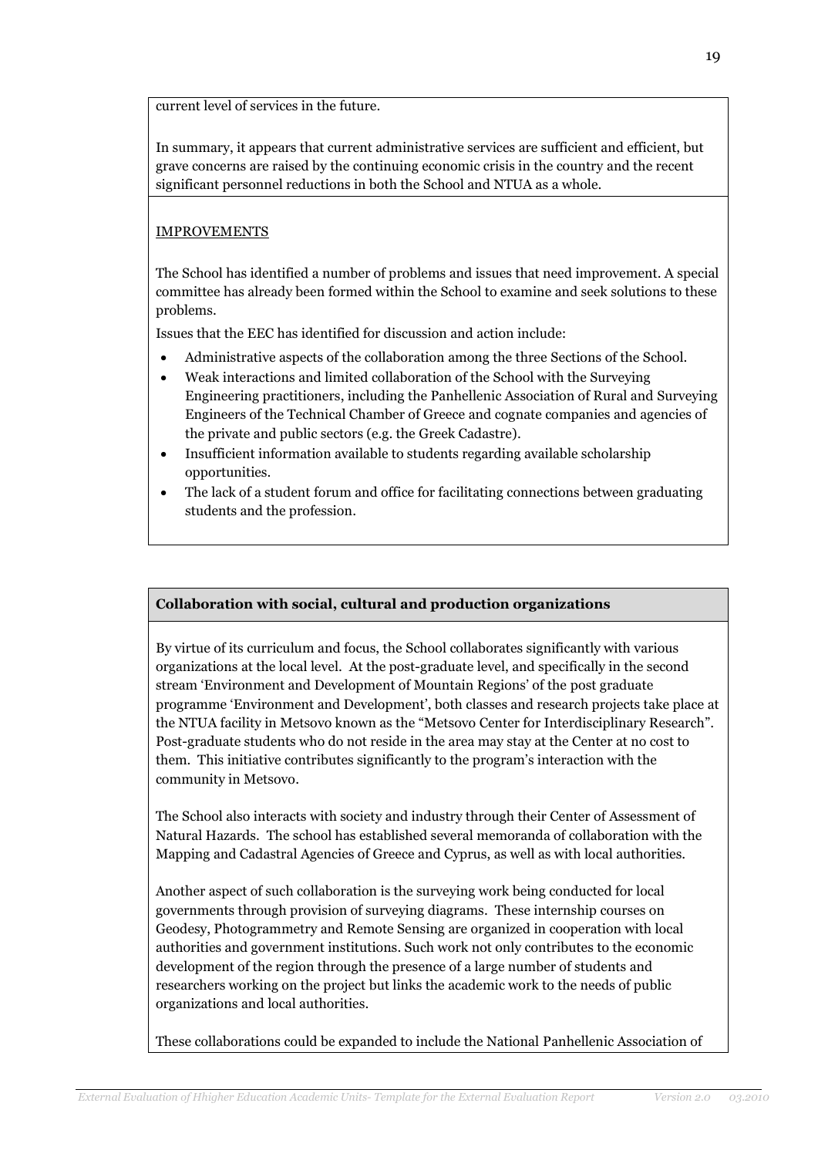current level of services in the future.

In summary, it appears that current administrative services are sufficient and efficient, but grave concerns are raised by the continuing economic crisis in the country and the recent significant personnel reductions in both the School and NTUA as a whole.

# IMPROVEMENTS

The School has identified a number of problems and issues that need improvement. A special committee has already been formed within the School to examine and seek solutions to these problems.

Issues that the EEC has identified for discussion and action include:

- Administrative aspects of the collaboration among the three Sections of the School.
- Weak interactions and limited collaboration of the School with the Surveying Engineering practitioners, including the Panhellenic Association of Rural and Surveying Engineers of the Technical Chamber of Greece and cognate companies and agencies of the private and public sectors (e.g. the Greek Cadastre).
- Insufficient information available to students regarding available scholarship opportunities.
- The lack of a student forum and office for facilitating connections between graduating students and the profession.

# **Collaboration with social, cultural and production organizations**

By virtue of its curriculum and focus, the School collaborates significantly with various organizations at the local level. At the post-graduate level, and specifically in the second stream 'Environment and Development of Mountain Regions' of the post graduate programme 'Environment and Development', both classes and research projects take place at the NTUA facility in Metsovo known as the "Metsovo Center for Interdisciplinary Research". Post-graduate students who do not reside in the area may stay at the Center at no cost to them. This initiative contributes significantly to the program's interaction with the community in Metsovo.

The School also interacts with society and industry through their Center of Assessment of Natural Hazards. The school has established several memoranda of collaboration with the Mapping and Cadastral Agencies of Greece and Cyprus, as well as with local authorities.

Another aspect of such collaboration is the surveying work being conducted for local governments through provision of surveying diagrams. These internship courses on Geodesy, Photogrammetry and Remote Sensing are organized in cooperation with local authorities and government institutions. Such work not only contributes to the economic development of the region through the presence of a large number of students and researchers working on the project but links the academic work to the needs of public organizations and local authorities.

These collaborations could be expanded to include the National Panhellenic Association of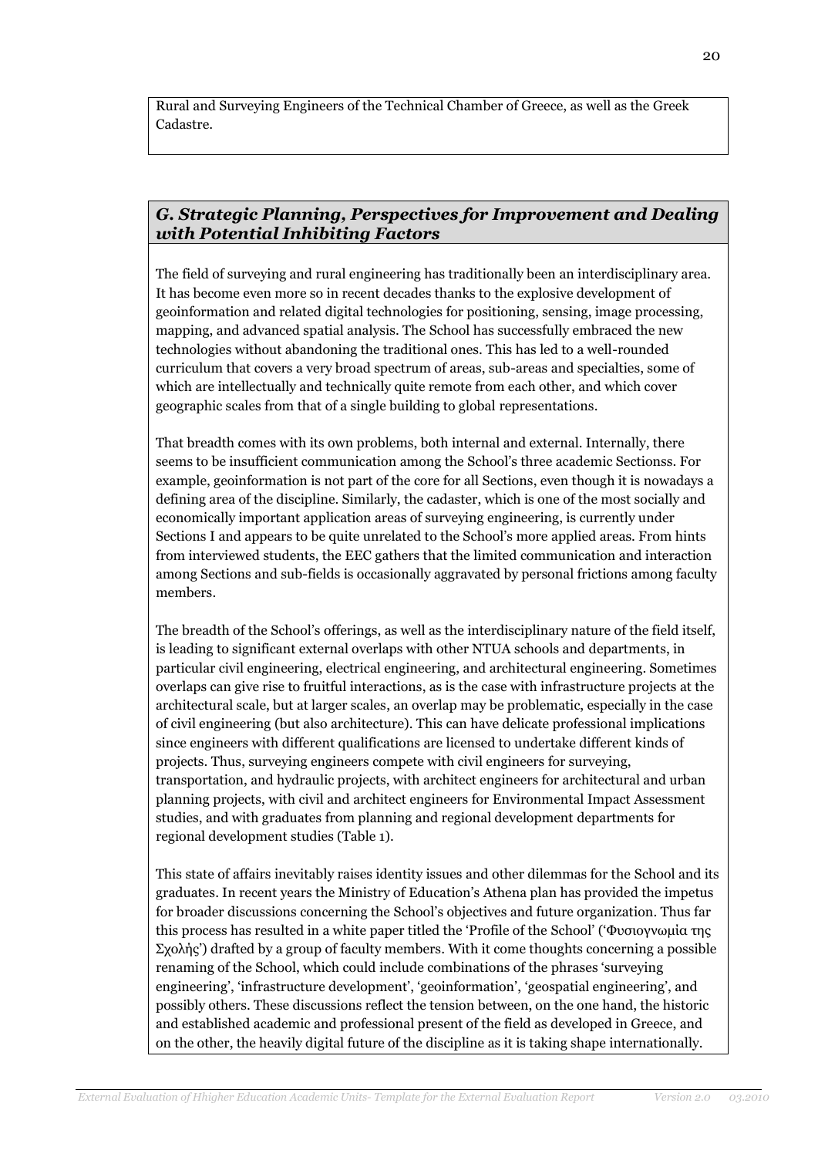Rural and Surveying Engineers of the Technical Chamber of Greece, as well as the Greek Cadastre.

# *G. Strategic Planning, Perspectives for Improvement and Dealing with Potential Inhibiting Factors*

The field of surveying and rural engineering has traditionally been an interdisciplinary area. It has become even more so in recent decades thanks to the explosive development of geoinformation and related digital technologies for positioning, sensing, image processing, mapping, and advanced spatial analysis. The School has successfully embraced the new technologies without abandoning the traditional ones. This has led to a well-rounded curriculum that covers a very broad spectrum of areas, sub-areas and specialties, some of which are intellectually and technically quite remote from each other, and which cover geographic scales from that of a single building to global representations.

That breadth comes with its own problems, both internal and external. Internally, there seems to be insufficient communication among the School's three academic Sectionss. For example, geoinformation is not part of the core for all Sections, even though it is nowadays a defining area of the discipline. Similarly, the cadaster, which is one of the most socially and economically important application areas of surveying engineering, is currently under Sections I and appears to be quite unrelated to the School's more applied areas. From hints from interviewed students, the EEC gathers that the limited communication and interaction among Sections and sub-fields is occasionally aggravated by personal frictions among faculty members.

The breadth of the School's offerings, as well as the interdisciplinary nature of the field itself, is leading to significant external overlaps with other NTUA schools and departments, in particular civil engineering, electrical engineering, and architectural engineering. Sometimes overlaps can give rise to fruitful interactions, as is the case with infrastructure projects at the architectural scale, but at larger scales, an overlap may be problematic, especially in the case of civil engineering (but also architecture). This can have delicate professional implications since engineers with different qualifications are licensed to undertake different kinds of projects. Thus, surveying engineers compete with civil engineers for surveying, transportation, and hydraulic projects, with architect engineers for architectural and urban planning projects, with civil and architect engineers for Environmental Impact Assessment studies, and with graduates from planning and regional development departments for regional development studies (Table 1).

This state of affairs inevitably raises identity issues and other dilemmas for the School and its graduates. In recent years the Ministry of Education's Athena plan has provided the impetus for broader discussions concerning the School's objectives and future organization. Thus far this process has resulted in a white paper titled the 'Profile of the School' ('Φυσιογνωμία της Σχολής') drafted by a group of faculty members. With it come thoughts concerning a possible renaming of the School, which could include combinations of the phrases 'surveying engineering', 'infrastructure development', 'geoinformation', 'geospatial engineering', and possibly others. These discussions reflect the tension between, on the one hand, the historic and established academic and professional present of the field as developed in Greece, and on the other, the heavily digital future of the discipline as it is taking shape internationally.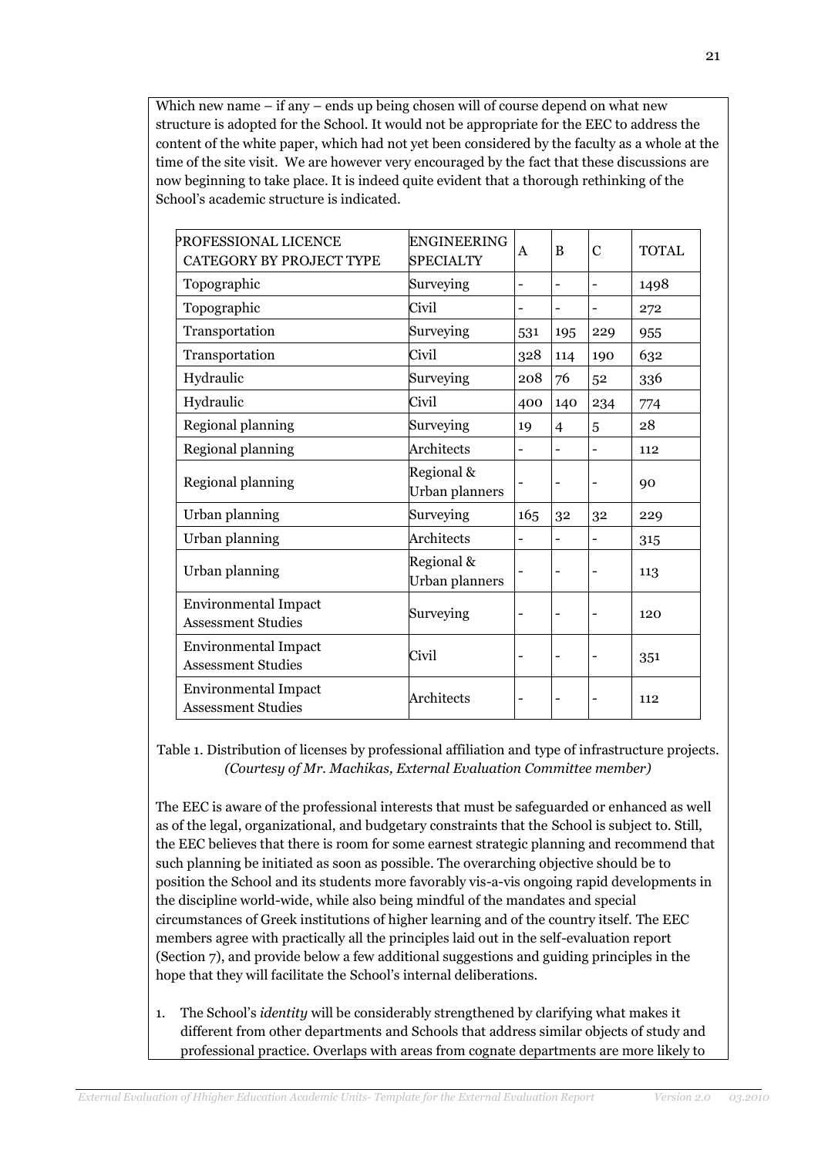Which new name – if any – ends up being chosen will of course depend on what new structure is adopted for the School. It would not be appropriate for the EEC to address the content of the white paper, which had not yet been considered by the faculty as a whole at the time of the site visit. We are however very encouraged by the fact that these discussions are now beginning to take place. It is indeed quite evident that a thorough rethinking of the School's academic structure is indicated.

| PROFESSIONAL LICENCE<br>CATEGORY BY PROJECT TYPE         | <b>ENGINEERING</b><br><b>SPECIALTY</b> | A                        | B               | $\mathbf C$              | <b>TOTAL</b> |
|----------------------------------------------------------|----------------------------------------|--------------------------|-----------------|--------------------------|--------------|
| Topographic                                              | Surveying                              | $\overline{\phantom{0}}$ | $\qquad \qquad$ | $\overline{\phantom{0}}$ | 1498         |
| Topographic                                              | Civil                                  |                          |                 |                          | 272          |
| Transportation                                           | Surveying                              | 531                      | 195             | 229                      | 955          |
| Transportation                                           | Civil                                  | 328                      | 114             | 190                      | 632          |
| Hydraulic                                                | Surveying                              | 208                      | 76              | 52                       | 336          |
| Hydraulic                                                | Civil                                  | 400                      | 140             | 234                      | 774          |
| Regional planning                                        | Surveying                              | 19                       | 4               | 5                        | 28           |
| Regional planning                                        | Architects                             |                          |                 | -                        | 112          |
| Regional planning                                        | Regional &<br>Urban planners           |                          |                 | $\qquad \qquad -$        | 90           |
| Urban planning                                           | Surveying                              | 165                      | 32              | 32                       | 229          |
| Urban planning                                           | Architects                             |                          |                 |                          | 315          |
| Urban planning                                           | Regional &<br>Urban planners           |                          |                 |                          | 113          |
| <b>Environmental Impact</b><br><b>Assessment Studies</b> | Surveying                              |                          |                 |                          | 120          |
| <b>Environmental Impact</b><br><b>Assessment Studies</b> | Civil                                  |                          |                 | $\overline{\phantom{0}}$ | 351          |
| <b>Environmental Impact</b><br><b>Assessment Studies</b> | Architects                             |                          |                 |                          | 112          |

Table 1. Distribution of licenses by professional affiliation and type of infrastructure projects. *(Courtesy of Mr. Machikas, External Evaluation Committee member)*

The EEC is aware of the professional interests that must be safeguarded or enhanced as well as of the legal, organizational, and budgetary constraints that the School is subject to. Still, the EEC believes that there is room for some earnest strategic planning and recommend that such planning be initiated as soon as possible. The overarching objective should be to position the School and its students more favorably vis-a-vis ongoing rapid developments in the discipline world-wide, while also being mindful of the mandates and special circumstances of Greek institutions of higher learning and of the country itself. The EEC members agree with practically all the principles laid out in the self-evaluation report (Section 7), and provide below a few additional suggestions and guiding principles in the hope that they will facilitate the School's internal deliberations.

1. The School's *identity* will be considerably strengthened by clarifying what makes it different from other departments and Schools that address similar objects of study and professional practice. Overlaps with areas from cognate departments are more likely to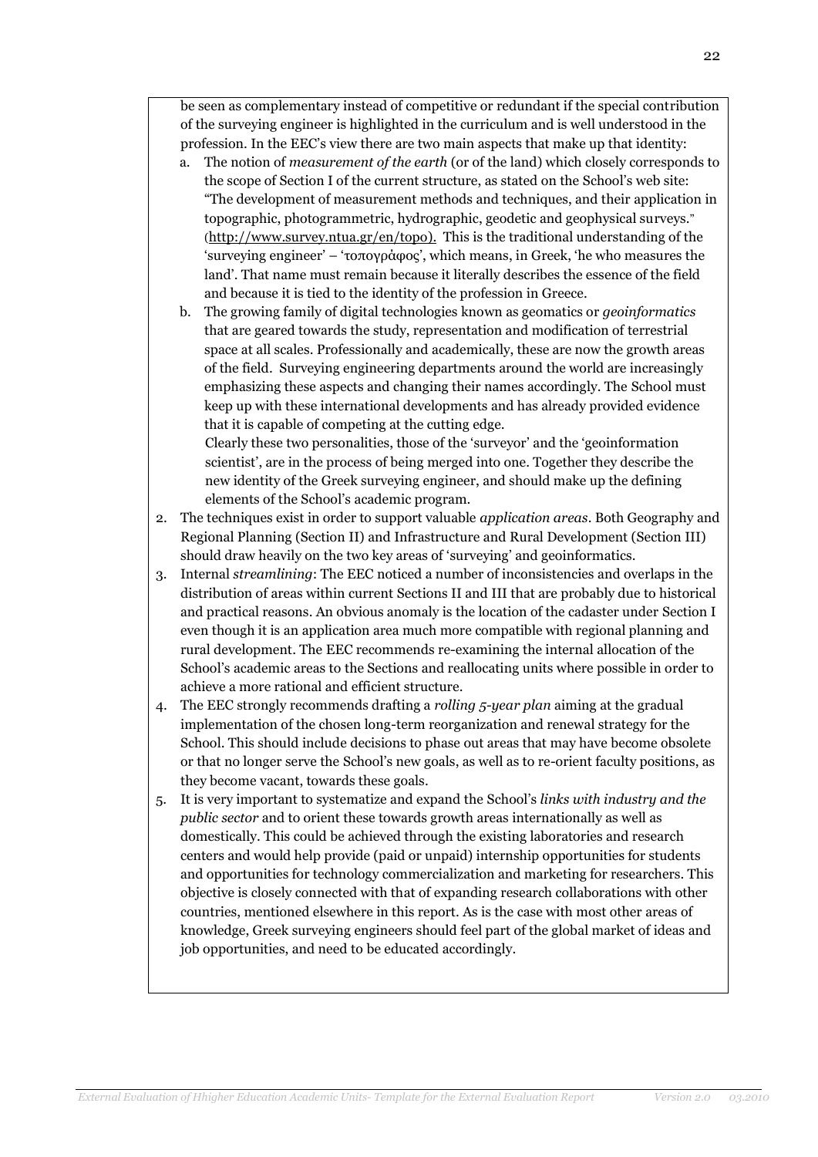be seen as complementary instead of competitive or redundant if the special contribution of the surveying engineer is highlighted in the curriculum and is well understood in the profession. In the EEC's view there are two main aspects that make up that identity:

- a. The notion of *measurement of the earth* (or of the land) which closely corresponds to the scope of Section I of the current structure, as stated on the School's web site: "The development of measurement methods and techniques, and their application in topographic, photogrammetric, hydrographic, geodetic and geophysical surveys." ([http://www.survey.ntua.gr/en/topo\)](http://www.survey.ntua.gr/en/topo). This is the traditional understanding of the 'surveying engineer' – 'τοπογράφος', which means, in Greek, 'he who measures the land'. That name must remain because it literally describes the essence of the field and because it is tied to the identity of the profession in Greece.
- b. The growing family of digital technologies known as geomatics or *geoinformatics* that are geared towards the study, representation and modification of terrestrial space at all scales. Professionally and academically, these are now the growth areas of the field. Surveying engineering departments around the world are increasingly emphasizing these aspects and changing their names accordingly. The School must keep up with these international developments and has already provided evidence that it is capable of competing at the cutting edge.

Clearly these two personalities, those of the 'surveyor' and the 'geoinformation scientist', are in the process of being merged into one. Together they describe the new identity of the Greek surveying engineer, and should make up the defining elements of the School's academic program.

- 2. The techniques exist in order to support valuable *application areas*. Both Geography and Regional Planning (Section II) and Infrastructure and Rural Development (Section III) should draw heavily on the two key areas of 'surveying' and geoinformatics.
- 3. Internal *streamlining*: The EEC noticed a number of inconsistencies and overlaps in the distribution of areas within current Sections II and III that are probably due to historical and practical reasons. An obvious anomaly is the location of the cadaster under Section I even though it is an application area much more compatible with regional planning and rural development. The EEC recommends re-examining the internal allocation of the School's academic areas to the Sections and reallocating units where possible in order to achieve a more rational and efficient structure.
- 4. The EEC strongly recommends drafting a *rolling 5-year plan* aiming at the gradual implementation of the chosen long-term reorganization and renewal strategy for the School. This should include decisions to phase out areas that may have become obsolete or that no longer serve the School's new goals, as well as to re-orient faculty positions, as they become vacant, towards these goals.
- 5. It is very important to systematize and expand the School's *links with industry and the public sector* and to orient these towards growth areas internationally as well as domestically. This could be achieved through the existing laboratories and research centers and would help provide (paid or unpaid) internship opportunities for students and opportunities for technology commercialization and marketing for researchers. This objective is closely connected with that of expanding research collaborations with other countries, mentioned elsewhere in this report. As is the case with most other areas of knowledge, Greek surveying engineers should feel part of the global market of ideas and job opportunities, and need to be educated accordingly.